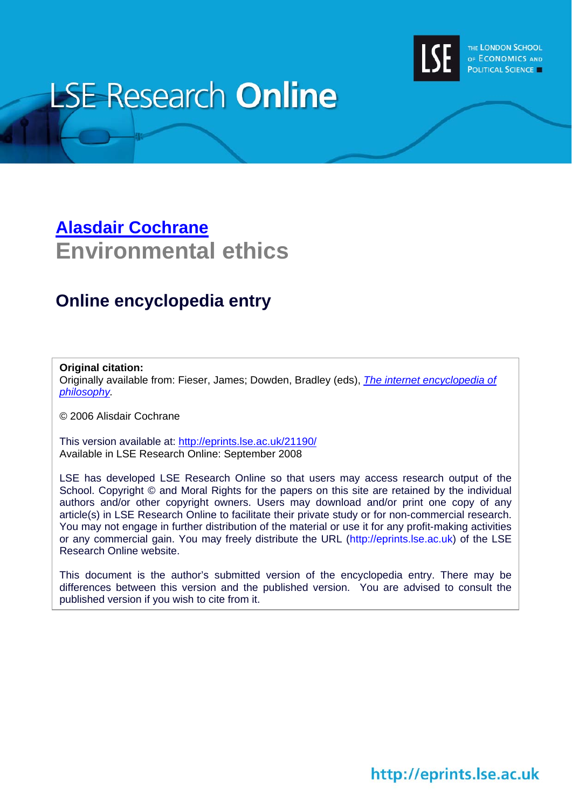

# **LSE Research Online**

# **[Alasdair Cochrane](http://www.lse.ac.uk/collections/humanRights/whosWho/Alasdair_Cochrane.htm) Environmental ethics**

### **Online encyclopedia entry**

#### **Original citation:**

Originally available from: Fieser, James; Dowden, Bradley (eds), *[The internet encyclopedia of](http://www.iep.utm.edu/)  [philosophy.](http://www.iep.utm.edu/)* 

© 2006 Alisdair Cochrane

This version available at: <http://eprints.lse.ac.uk/21190/> Available in LSE Research Online: September 2008

LSE has developed LSE Research Online so that users may access research output of the School. Copyright © and Moral Rights for the papers on this site are retained by the individual authors and/or other copyright owners. Users may download and/or print one copy of any article(s) in LSE Research Online to facilitate their private study or for non-commercial research. You may not engage in further distribution of the material or use it for any profit-making activities or any commercial gain. You may freely distribute the URL (http://eprints.lse.ac.uk) of the LSE Research Online website.

This document is the author's submitted version of the encyclopedia entry. There may be differences between this version and the published version. You are advised to consult the published version if you wish to cite from it.

# http://eprints.lse.ac.uk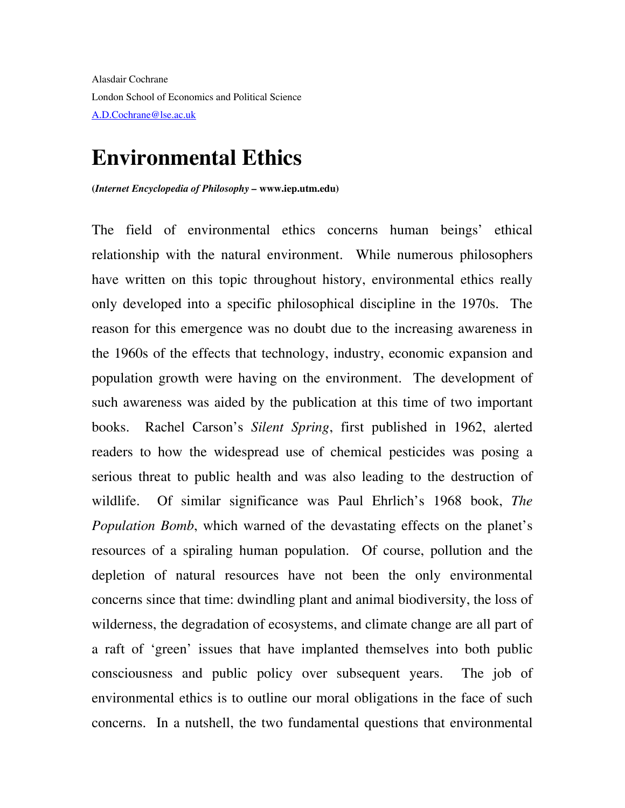Alasdair Cochrane London School of Economics and Political Science [A.D.Cochrane@lse.ac.uk](mailto:A.D.Cochrane@lse.ac.uk)

## **Environmental Ethics**

**(***Internet Encyclopedia of Philosophy –* **www.iep.utm.edu)** 

The field of environmental ethics concerns human beings' ethical relationship with the natural environment. While numerous philosophers have written on this topic throughout history, environmental ethics really only developed into a specific philosophical discipline in the 1970s. The reason for this emergence was no doubt due to the increasing awareness in the 1960s of the effects that technology, industry, economic expansion and population growth were having on the environment. The development of such awareness was aided by the publication at this time of two important books. Rachel Carson's *Silent Spring*, first published in 1962, alerted readers to how the widespread use of chemical pesticides was posing a serious threat to public health and was also leading to the destruction of wildlife. Of similar significance was Paul Ehrlich's 1968 book, *The Population Bomb*, which warned of the devastating effects on the planet's resources of a spiraling human population. Of course, pollution and the depletion of natural resources have not been the only environmental concerns since that time: dwindling plant and animal biodiversity, the loss of wilderness, the degradation of ecosystems, and climate change are all part of a raft of 'green' issues that have implanted themselves into both public consciousness and public policy over subsequent years. The job of environmental ethics is to outline our moral obligations in the face of such concerns. In a nutshell, the two fundamental questions that environmental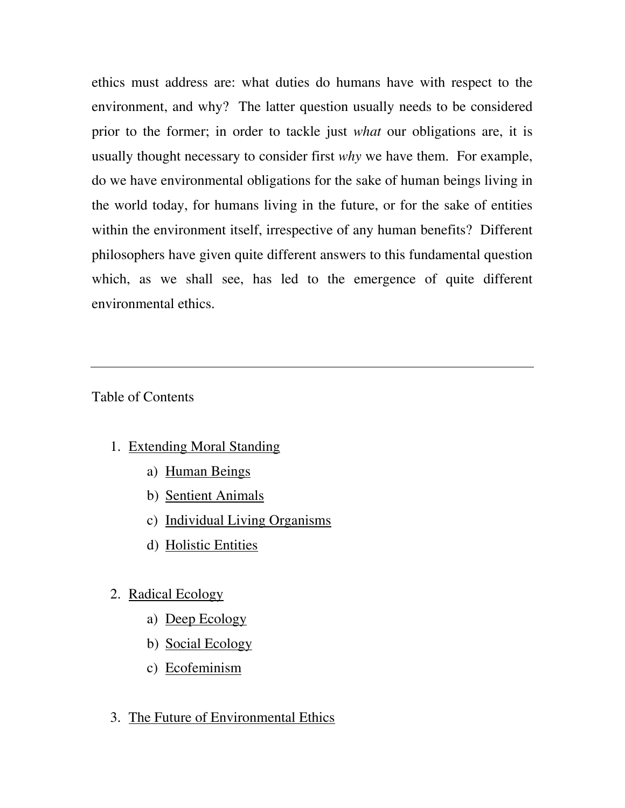ethics must address are: what duties do humans have with respect to the environment, and why? The latter question usually needs to be considered prior to the former; in order to tackle just *what* our obligations are, it is usually thought necessary to consider first *why* we have them. For example, do we have environmental obligations for the sake of human beings living in the world today, for humans living in the future, or for the sake of entities within the environment itself, irrespective of any human benefits? Different philosophers have given quite different answers to this fundamental question which, as we shall see, has led to the emergence of quite different environmental ethics.

Table of Contents

- 1. Extending Moral Standing
	- a) Human Beings
	- b) Sentient Animals
	- c) Individual Living Organisms
	- d) Holistic Entities

#### 2. Radical Ecology

- a) Deep Ecology
- b) Social Ecology
- c) Ecofeminism
- 3. The Future of Environmental Ethics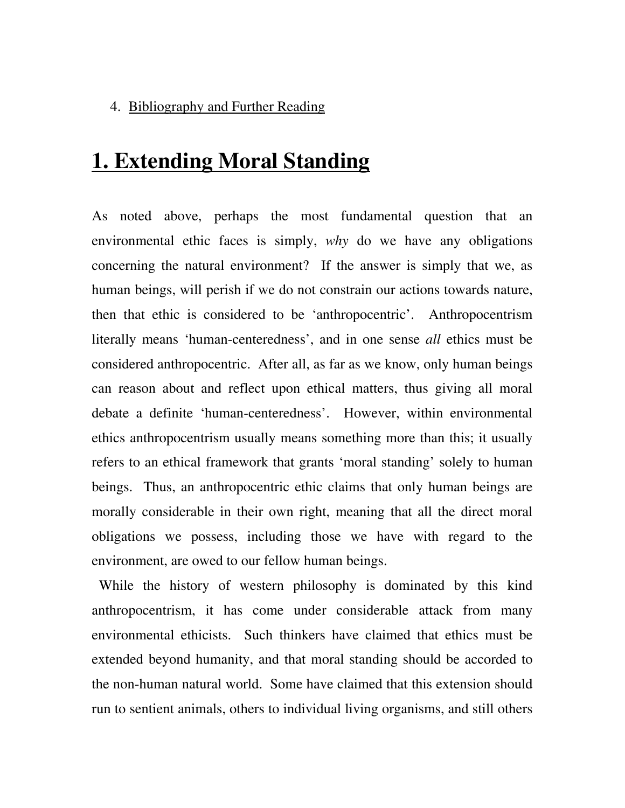#### 4. Bibliography and Further Reading

# **1. Extending Moral Standing**

As noted above, perhaps the most fundamental question that an environmental ethic faces is simply, *why* do we have any obligations concerning the natural environment? If the answer is simply that we, as human beings, will perish if we do not constrain our actions towards nature, then that ethic is considered to be 'anthropocentric'. Anthropocentrism literally means 'human-centeredness', and in one sense *all* ethics must be considered anthropocentric. After all, as far as we know, only human beings can reason about and reflect upon ethical matters, thus giving all moral debate a definite 'human-centeredness'. However, within environmental ethics anthropocentrism usually means something more than this; it usually refers to an ethical framework that grants 'moral standing' solely to human beings. Thus, an anthropocentric ethic claims that only human beings are morally considerable in their own right, meaning that all the direct moral obligations we possess, including those we have with regard to the environment, are owed to our fellow human beings.

 While the history of western philosophy is dominated by this kind anthropocentrism, it has come under considerable attack from many environmental ethicists. Such thinkers have claimed that ethics must be extended beyond humanity, and that moral standing should be accorded to the non-human natural world. Some have claimed that this extension should run to sentient animals, others to individual living organisms, and still others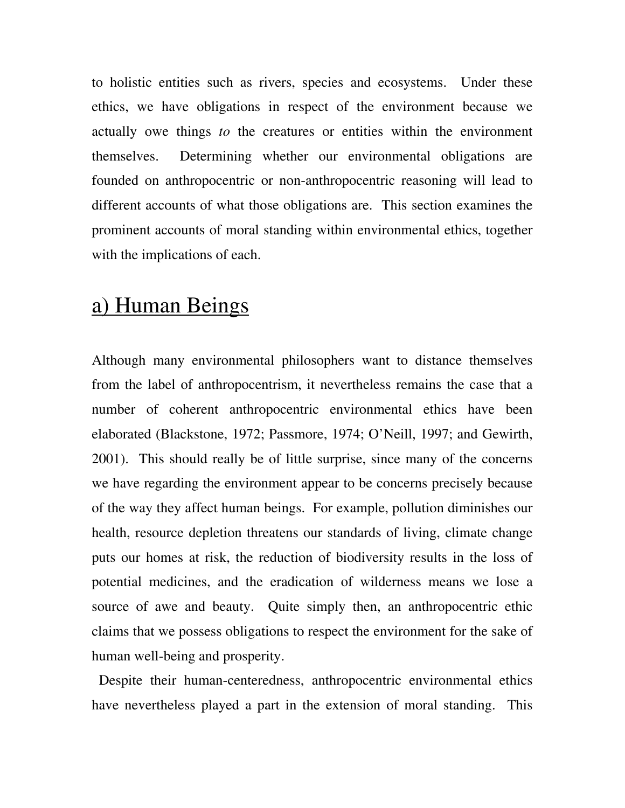to holistic entities such as rivers, species and ecosystems. Under these ethics, we have obligations in respect of the environment because we actually owe things *to* the creatures or entities within the environment themselves. Determining whether our environmental obligations are founded on anthropocentric or non-anthropocentric reasoning will lead to different accounts of what those obligations are. This section examines the prominent accounts of moral standing within environmental ethics, together with the implications of each.

# a) Human Beings

Although many environmental philosophers want to distance themselves from the label of anthropocentrism, it nevertheless remains the case that a number of coherent anthropocentric environmental ethics have been elaborated (Blackstone, 1972; Passmore, 1974; O'Neill, 1997; and Gewirth, 2001). This should really be of little surprise, since many of the concerns we have regarding the environment appear to be concerns precisely because of the way they affect human beings. For example, pollution diminishes our health, resource depletion threatens our standards of living, climate change puts our homes at risk, the reduction of biodiversity results in the loss of potential medicines, and the eradication of wilderness means we lose a source of awe and beauty. Quite simply then, an anthropocentric ethic claims that we possess obligations to respect the environment for the sake of human well-being and prosperity.

 Despite their human-centeredness, anthropocentric environmental ethics have nevertheless played a part in the extension of moral standing. This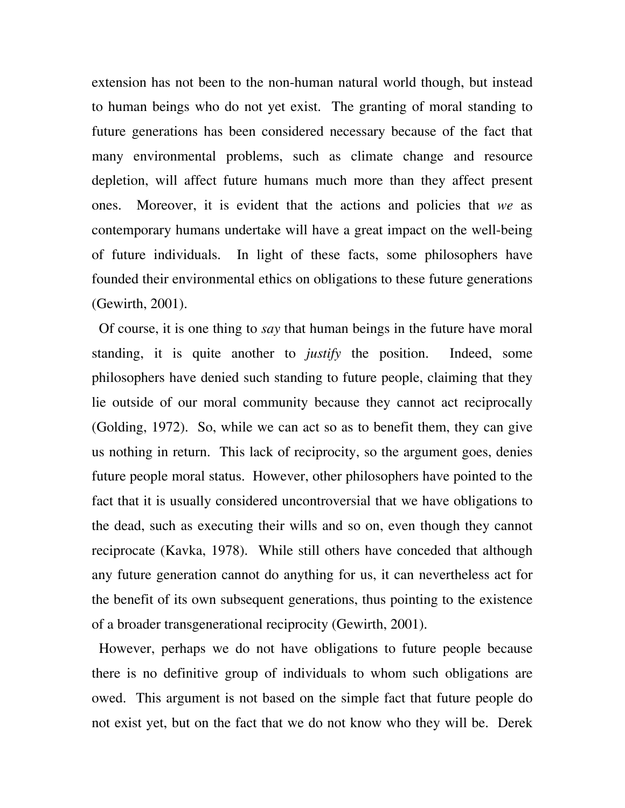extension has not been to the non-human natural world though, but instead to human beings who do not yet exist. The granting of moral standing to future generations has been considered necessary because of the fact that many environmental problems, such as climate change and resource depletion, will affect future humans much more than they affect present ones. Moreover, it is evident that the actions and policies that *we* as contemporary humans undertake will have a great impact on the well-being of future individuals. In light of these facts, some philosophers have founded their environmental ethics on obligations to these future generations (Gewirth, 2001).

 Of course, it is one thing to *say* that human beings in the future have moral standing, it is quite another to *justify* the position. Indeed, some philosophers have denied such standing to future people, claiming that they lie outside of our moral community because they cannot act reciprocally (Golding, 1972). So, while we can act so as to benefit them, they can give us nothing in return. This lack of reciprocity, so the argument goes, denies future people moral status. However, other philosophers have pointed to the fact that it is usually considered uncontroversial that we have obligations to the dead, such as executing their wills and so on, even though they cannot reciprocate (Kavka, 1978). While still others have conceded that although any future generation cannot do anything for us, it can nevertheless act for the benefit of its own subsequent generations, thus pointing to the existence of a broader transgenerational reciprocity (Gewirth, 2001).

 However, perhaps we do not have obligations to future people because there is no definitive group of individuals to whom such obligations are owed. This argument is not based on the simple fact that future people do not exist yet, but on the fact that we do not know who they will be. Derek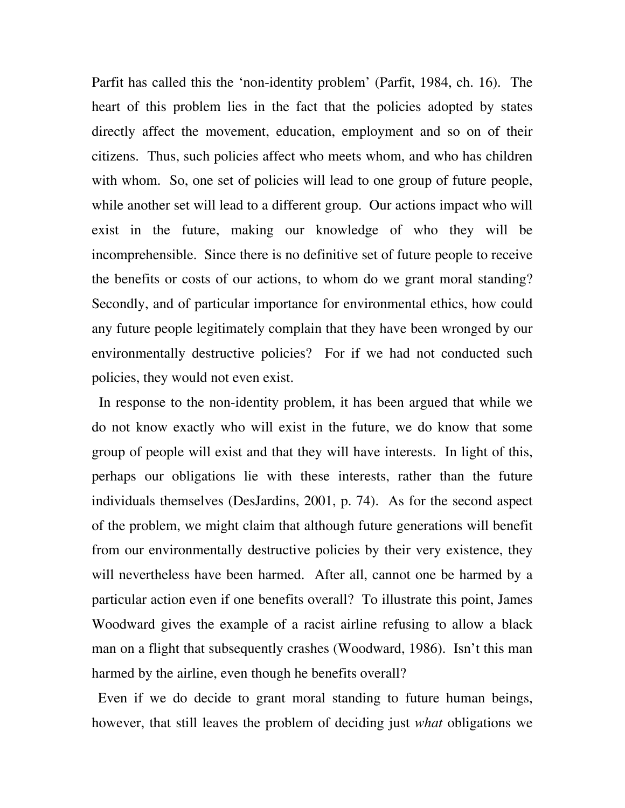Parfit has called this the 'non-identity problem' (Parfit, 1984, ch. 16). The heart of this problem lies in the fact that the policies adopted by states directly affect the movement, education, employment and so on of their citizens. Thus, such policies affect who meets whom, and who has children with whom. So, one set of policies will lead to one group of future people, while another set will lead to a different group. Our actions impact who will exist in the future, making our knowledge of who they will be incomprehensible. Since there is no definitive set of future people to receive the benefits or costs of our actions, to whom do we grant moral standing? Secondly, and of particular importance for environmental ethics, how could any future people legitimately complain that they have been wronged by our environmentally destructive policies? For if we had not conducted such policies, they would not even exist.

 In response to the non-identity problem, it has been argued that while we do not know exactly who will exist in the future, we do know that some group of people will exist and that they will have interests. In light of this, perhaps our obligations lie with these interests, rather than the future individuals themselves (DesJardins, 2001, p. 74). As for the second aspect of the problem, we might claim that although future generations will benefit from our environmentally destructive policies by their very existence, they will nevertheless have been harmed. After all, cannot one be harmed by a particular action even if one benefits overall? To illustrate this point, James Woodward gives the example of a racist airline refusing to allow a black man on a flight that subsequently crashes (Woodward, 1986). Isn't this man harmed by the airline, even though he benefits overall?

 Even if we do decide to grant moral standing to future human beings, however, that still leaves the problem of deciding just *what* obligations we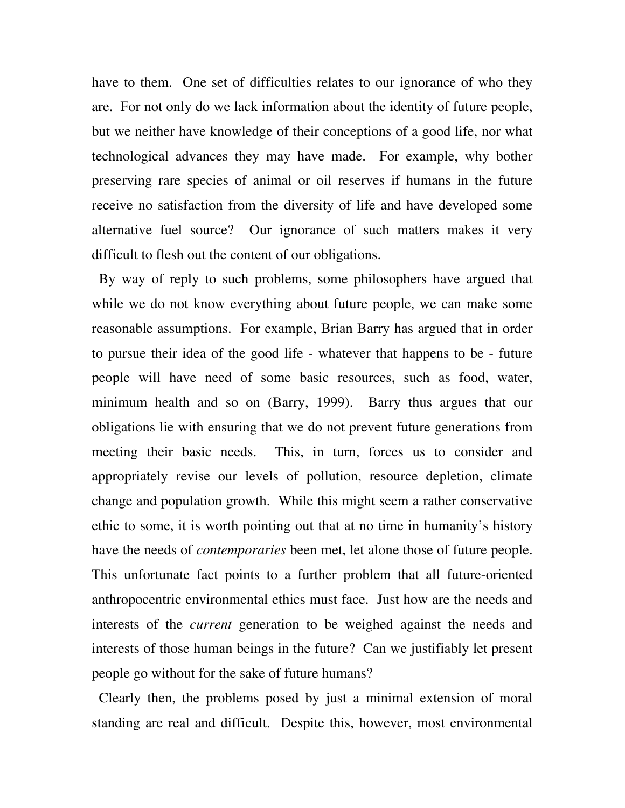have to them. One set of difficulties relates to our ignorance of who they are. For not only do we lack information about the identity of future people, but we neither have knowledge of their conceptions of a good life, nor what technological advances they may have made. For example, why bother preserving rare species of animal or oil reserves if humans in the future receive no satisfaction from the diversity of life and have developed some alternative fuel source? Our ignorance of such matters makes it very difficult to flesh out the content of our obligations.

 By way of reply to such problems, some philosophers have argued that while we do not know everything about future people, we can make some reasonable assumptions. For example, Brian Barry has argued that in order to pursue their idea of the good life - whatever that happens to be - future people will have need of some basic resources, such as food, water, minimum health and so on (Barry, 1999). Barry thus argues that our obligations lie with ensuring that we do not prevent future generations from meeting their basic needs. This, in turn, forces us to consider and appropriately revise our levels of pollution, resource depletion, climate change and population growth. While this might seem a rather conservative ethic to some, it is worth pointing out that at no time in humanity's history have the needs of *contemporaries* been met, let alone those of future people. This unfortunate fact points to a further problem that all future-oriented anthropocentric environmental ethics must face. Just how are the needs and interests of the *current* generation to be weighed against the needs and interests of those human beings in the future? Can we justifiably let present people go without for the sake of future humans?

 Clearly then, the problems posed by just a minimal extension of moral standing are real and difficult. Despite this, however, most environmental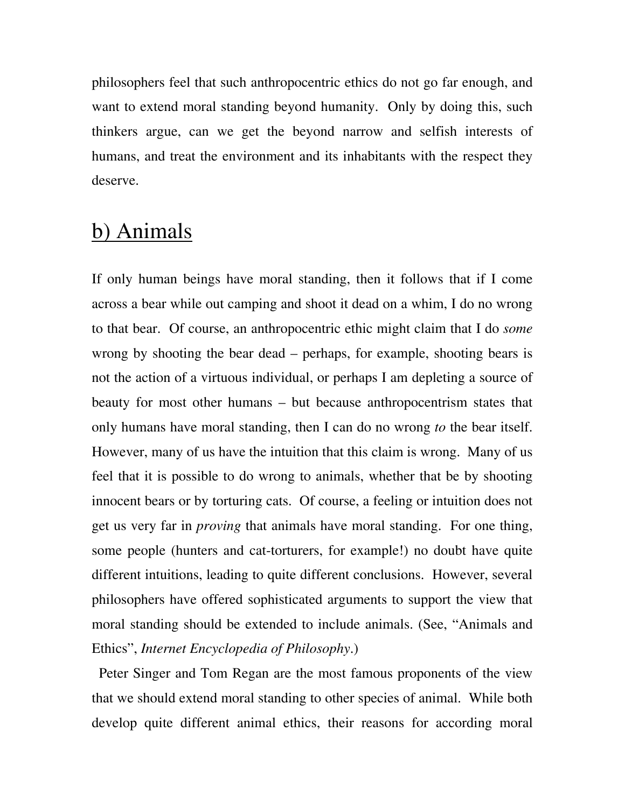philosophers feel that such anthropocentric ethics do not go far enough, and want to extend moral standing beyond humanity. Only by doing this, such thinkers argue, can we get the beyond narrow and selfish interests of humans, and treat the environment and its inhabitants with the respect they deserve.

#### b) Animals

If only human beings have moral standing, then it follows that if I come across a bear while out camping and shoot it dead on a whim, I do no wrong to that bear. Of course, an anthropocentric ethic might claim that I do *some* wrong by shooting the bear dead – perhaps, for example, shooting bears is not the action of a virtuous individual, or perhaps I am depleting a source of beauty for most other humans – but because anthropocentrism states that only humans have moral standing, then I can do no wrong *to* the bear itself. However, many of us have the intuition that this claim is wrong. Many of us feel that it is possible to do wrong to animals, whether that be by shooting innocent bears or by torturing cats. Of course, a feeling or intuition does not get us very far in *proving* that animals have moral standing. For one thing, some people (hunters and cat-torturers, for example!) no doubt have quite different intuitions, leading to quite different conclusions. However, several philosophers have offered sophisticated arguments to support the view that moral standing should be extended to include animals. (See, "Animals and Ethics", *Internet Encyclopedia of Philosophy*.)

 Peter Singer and Tom Regan are the most famous proponents of the view that we should extend moral standing to other species of animal. While both develop quite different animal ethics, their reasons for according moral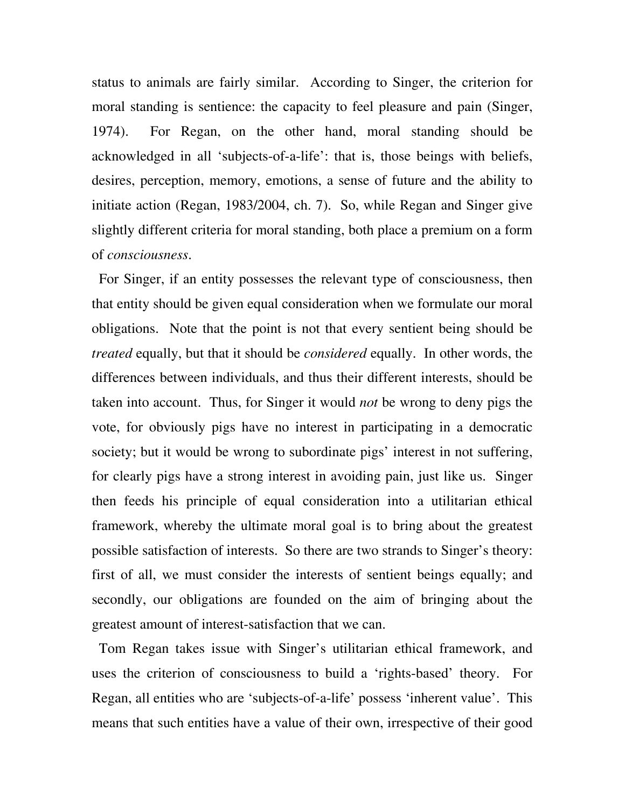status to animals are fairly similar. According to Singer, the criterion for moral standing is sentience: the capacity to feel pleasure and pain (Singer, 1974). For Regan, on the other hand, moral standing should be acknowledged in all 'subjects-of-a-life': that is, those beings with beliefs, desires, perception, memory, emotions, a sense of future and the ability to initiate action (Regan, 1983/2004, ch. 7). So, while Regan and Singer give slightly different criteria for moral standing, both place a premium on a form of *consciousness*.

 For Singer, if an entity possesses the relevant type of consciousness, then that entity should be given equal consideration when we formulate our moral obligations. Note that the point is not that every sentient being should be *treated* equally, but that it should be *considered* equally. In other words, the differences between individuals, and thus their different interests, should be taken into account. Thus, for Singer it would *not* be wrong to deny pigs the vote, for obviously pigs have no interest in participating in a democratic society; but it would be wrong to subordinate pigs' interest in not suffering, for clearly pigs have a strong interest in avoiding pain, just like us. Singer then feeds his principle of equal consideration into a utilitarian ethical framework, whereby the ultimate moral goal is to bring about the greatest possible satisfaction of interests. So there are two strands to Singer's theory: first of all, we must consider the interests of sentient beings equally; and secondly, our obligations are founded on the aim of bringing about the greatest amount of interest-satisfaction that we can.

 Tom Regan takes issue with Singer's utilitarian ethical framework, and uses the criterion of consciousness to build a 'rights-based' theory. For Regan, all entities who are 'subjects-of-a-life' possess 'inherent value'. This means that such entities have a value of their own, irrespective of their good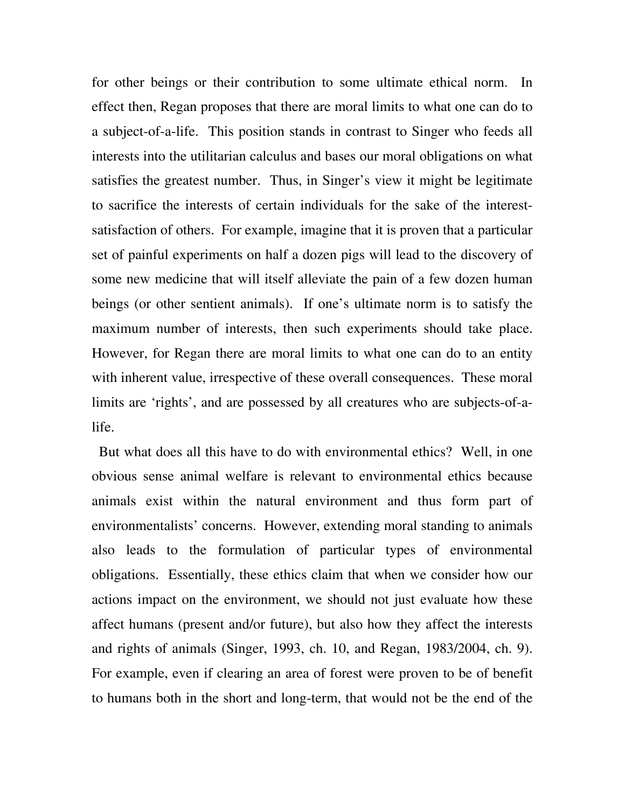for other beings or their contribution to some ultimate ethical norm. In effect then, Regan proposes that there are moral limits to what one can do to a subject-of-a-life. This position stands in contrast to Singer who feeds all interests into the utilitarian calculus and bases our moral obligations on what satisfies the greatest number. Thus, in Singer's view it might be legitimate to sacrifice the interests of certain individuals for the sake of the interestsatisfaction of others. For example, imagine that it is proven that a particular set of painful experiments on half a dozen pigs will lead to the discovery of some new medicine that will itself alleviate the pain of a few dozen human beings (or other sentient animals). If one's ultimate norm is to satisfy the maximum number of interests, then such experiments should take place. However, for Regan there are moral limits to what one can do to an entity with inherent value, irrespective of these overall consequences. These moral limits are 'rights', and are possessed by all creatures who are subjects-of-alife.

 But what does all this have to do with environmental ethics? Well, in one obvious sense animal welfare is relevant to environmental ethics because animals exist within the natural environment and thus form part of environmentalists' concerns. However, extending moral standing to animals also leads to the formulation of particular types of environmental obligations. Essentially, these ethics claim that when we consider how our actions impact on the environment, we should not just evaluate how these affect humans (present and/or future), but also how they affect the interests and rights of animals (Singer, 1993, ch. 10, and Regan, 1983/2004, ch. 9). For example, even if clearing an area of forest were proven to be of benefit to humans both in the short and long-term, that would not be the end of the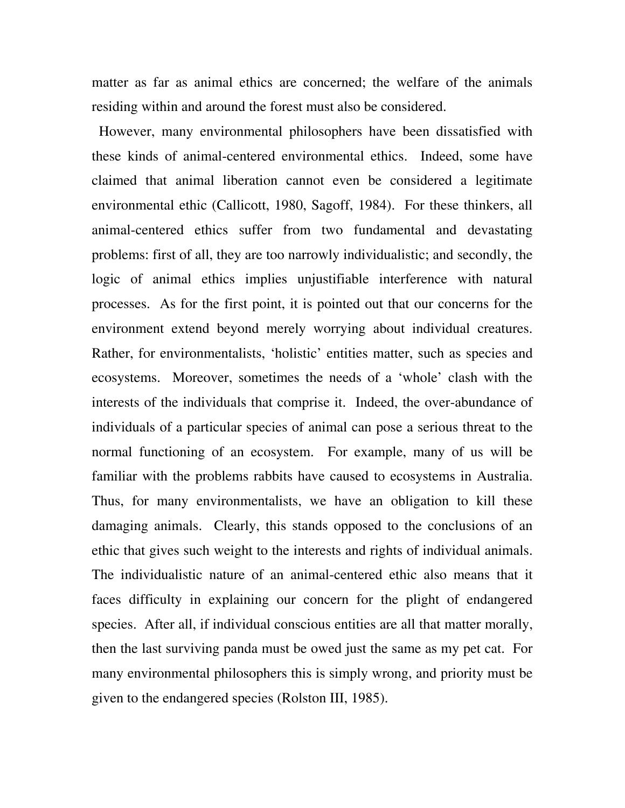matter as far as animal ethics are concerned; the welfare of the animals residing within and around the forest must also be considered.

 However, many environmental philosophers have been dissatisfied with these kinds of animal-centered environmental ethics. Indeed, some have claimed that animal liberation cannot even be considered a legitimate environmental ethic (Callicott, 1980, Sagoff, 1984). For these thinkers, all animal-centered ethics suffer from two fundamental and devastating problems: first of all, they are too narrowly individualistic; and secondly, the logic of animal ethics implies unjustifiable interference with natural processes. As for the first point, it is pointed out that our concerns for the environment extend beyond merely worrying about individual creatures. Rather, for environmentalists, 'holistic' entities matter, such as species and ecosystems. Moreover, sometimes the needs of a 'whole' clash with the interests of the individuals that comprise it. Indeed, the over-abundance of individuals of a particular species of animal can pose a serious threat to the normal functioning of an ecosystem. For example, many of us will be familiar with the problems rabbits have caused to ecosystems in Australia. Thus, for many environmentalists, we have an obligation to kill these damaging animals. Clearly, this stands opposed to the conclusions of an ethic that gives such weight to the interests and rights of individual animals. The individualistic nature of an animal-centered ethic also means that it faces difficulty in explaining our concern for the plight of endangered species. After all, if individual conscious entities are all that matter morally, then the last surviving panda must be owed just the same as my pet cat. For many environmental philosophers this is simply wrong, and priority must be given to the endangered species (Rolston III, 1985).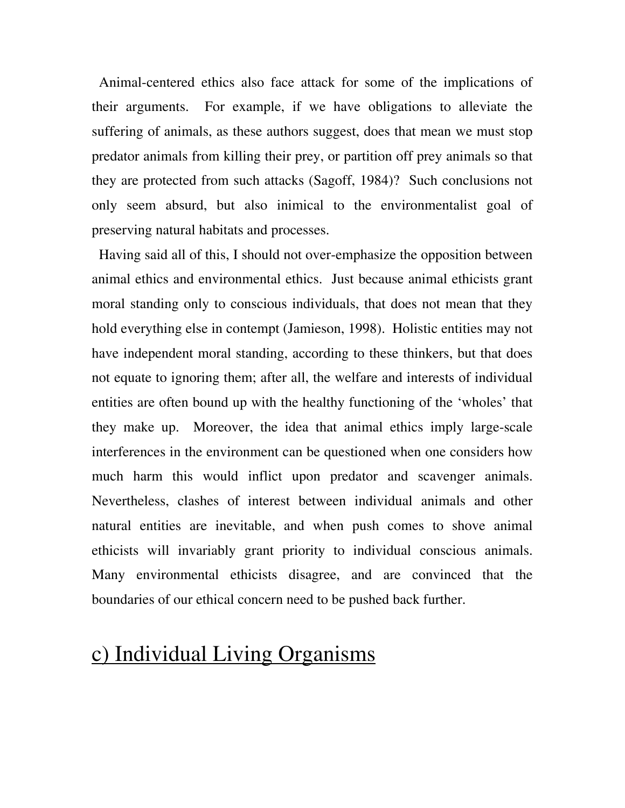Animal-centered ethics also face attack for some of the implications of their arguments. For example, if we have obligations to alleviate the suffering of animals, as these authors suggest, does that mean we must stop predator animals from killing their prey, or partition off prey animals so that they are protected from such attacks (Sagoff, 1984)? Such conclusions not only seem absurd, but also inimical to the environmentalist goal of preserving natural habitats and processes.

 Having said all of this, I should not over-emphasize the opposition between animal ethics and environmental ethics. Just because animal ethicists grant moral standing only to conscious individuals, that does not mean that they hold everything else in contempt (Jamieson, 1998). Holistic entities may not have independent moral standing, according to these thinkers, but that does not equate to ignoring them; after all, the welfare and interests of individual entities are often bound up with the healthy functioning of the 'wholes' that they make up. Moreover, the idea that animal ethics imply large-scale interferences in the environment can be questioned when one considers how much harm this would inflict upon predator and scavenger animals. Nevertheless, clashes of interest between individual animals and other natural entities are inevitable, and when push comes to shove animal ethicists will invariably grant priority to individual conscious animals. Many environmental ethicists disagree, and are convinced that the boundaries of our ethical concern need to be pushed back further.

# c) Individual Living Organisms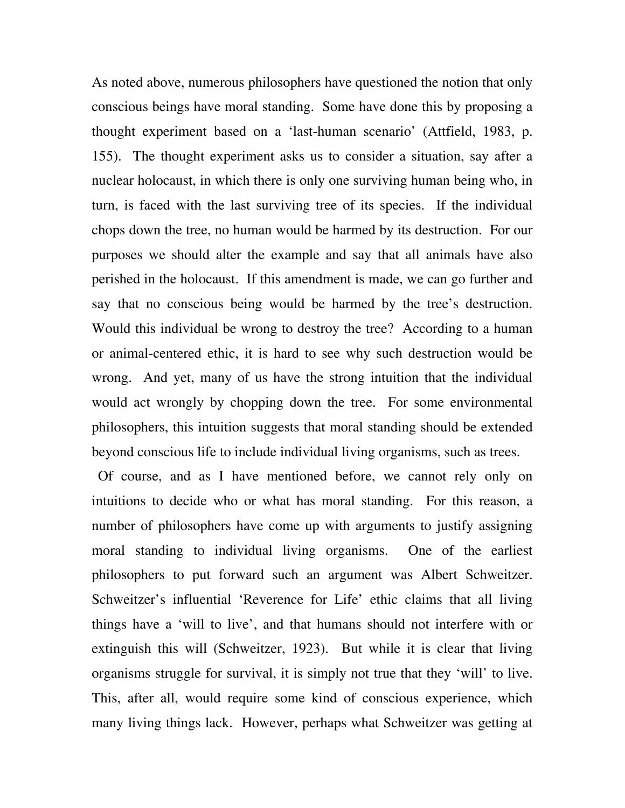As noted above, numerous philosophers have questioned the notion that only conscious beings have moral standing. Some have done this by proposing a thought experiment based on a 'last-human scenario' (Attfield, 1983, p. 155). The thought experiment asks us to consider a situation, say after a nuclear holocaust, in which there is only one surviving human being who, in turn, is faced with the last surviving tree of its species. If the individual chops down the tree, no human would be harmed by its destruction. For our purposes we should alter the example and say that all animals have also perished in the holocaust. If this amendment is made, we can go further and say that no conscious being would be harmed by the tree's destruction. Would this individual be wrong to destroy the tree? According to a human or animal-centered ethic, it is hard to see why such destruction would be wrong. And yet, many of us have the strong intuition that the individual would act wrongly by chopping down the tree. For some environmental philosophers, this intuition suggests that moral standing should be extended beyond conscious life to include individual living organisms, such as trees.

 Of course, and as I have mentioned before, we cannot rely only on intuitions to decide who or what has moral standing. For this reason, a number of philosophers have come up with arguments to justify assigning moral standing to individual living organisms. One of the earliest philosophers to put forward such an argument was Albert Schweitzer. Schweitzer's influential 'Reverence for Life' ethic claims that all living things have a 'will to live', and that humans should not interfere with or extinguish this will (Schweitzer, 1923). But while it is clear that living organisms struggle for survival, it is simply not true that they 'will' to live. This, after all, would require some kind of conscious experience, which many living things lack. However, perhaps what Schweitzer was getting at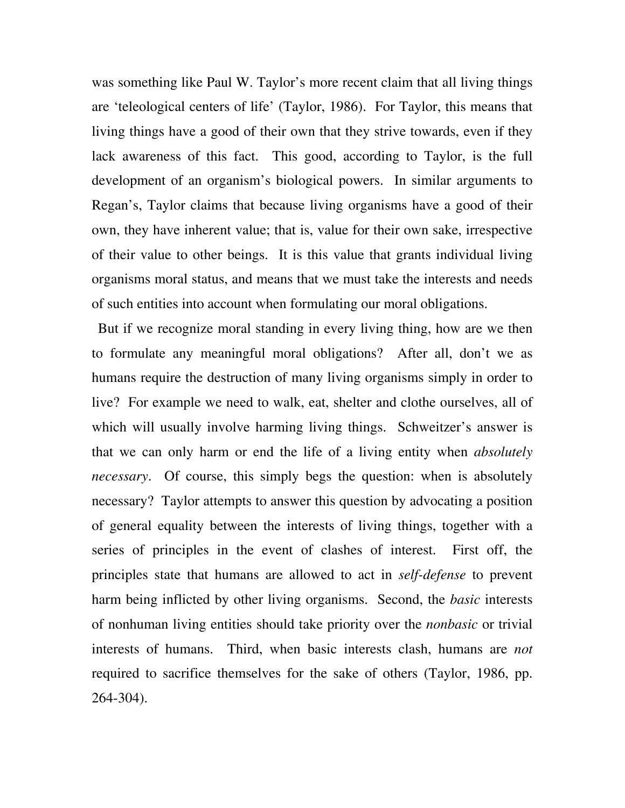was something like Paul W. Taylor's more recent claim that all living things are 'teleological centers of life' (Taylor, 1986). For Taylor, this means that living things have a good of their own that they strive towards, even if they lack awareness of this fact. This good, according to Taylor, is the full development of an organism's biological powers. In similar arguments to Regan's, Taylor claims that because living organisms have a good of their own, they have inherent value; that is, value for their own sake, irrespective of their value to other beings. It is this value that grants individual living organisms moral status, and means that we must take the interests and needs of such entities into account when formulating our moral obligations.

 But if we recognize moral standing in every living thing, how are we then to formulate any meaningful moral obligations? After all, don't we as humans require the destruction of many living organisms simply in order to live? For example we need to walk, eat, shelter and clothe ourselves, all of which will usually involve harming living things. Schweitzer's answer is that we can only harm or end the life of a living entity when *absolutely necessary*. Of course, this simply begs the question: when is absolutely necessary? Taylor attempts to answer this question by advocating a position of general equality between the interests of living things, together with a series of principles in the event of clashes of interest. First off, the principles state that humans are allowed to act in *self-defense* to prevent harm being inflicted by other living organisms. Second, the *basic* interests of nonhuman living entities should take priority over the *nonbasic* or trivial interests of humans. Third, when basic interests clash, humans are *not*  required to sacrifice themselves for the sake of others (Taylor, 1986, pp. 264-304).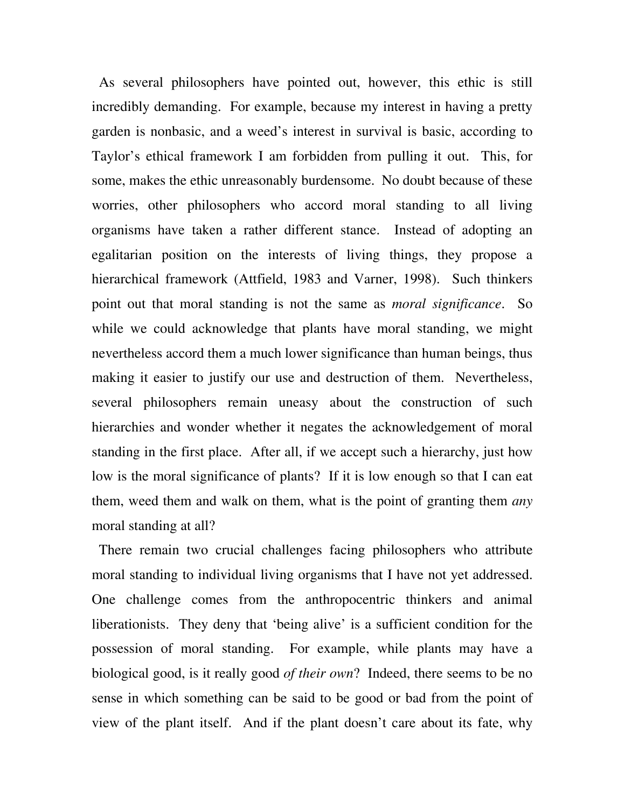As several philosophers have pointed out, however, this ethic is still incredibly demanding. For example, because my interest in having a pretty garden is nonbasic, and a weed's interest in survival is basic, according to Taylor's ethical framework I am forbidden from pulling it out. This, for some, makes the ethic unreasonably burdensome. No doubt because of these worries, other philosophers who accord moral standing to all living organisms have taken a rather different stance. Instead of adopting an egalitarian position on the interests of living things, they propose a hierarchical framework (Attfield, 1983 and Varner, 1998). Such thinkers point out that moral standing is not the same as *moral significance*. So while we could acknowledge that plants have moral standing, we might nevertheless accord them a much lower significance than human beings, thus making it easier to justify our use and destruction of them. Nevertheless, several philosophers remain uneasy about the construction of such hierarchies and wonder whether it negates the acknowledgement of moral standing in the first place. After all, if we accept such a hierarchy, just how low is the moral significance of plants? If it is low enough so that I can eat them, weed them and walk on them, what is the point of granting them *any* moral standing at all?

 There remain two crucial challenges facing philosophers who attribute moral standing to individual living organisms that I have not yet addressed. One challenge comes from the anthropocentric thinkers and animal liberationists. They deny that 'being alive' is a sufficient condition for the possession of moral standing. For example, while plants may have a biological good, is it really good *of their own*? Indeed, there seems to be no sense in which something can be said to be good or bad from the point of view of the plant itself. And if the plant doesn't care about its fate, why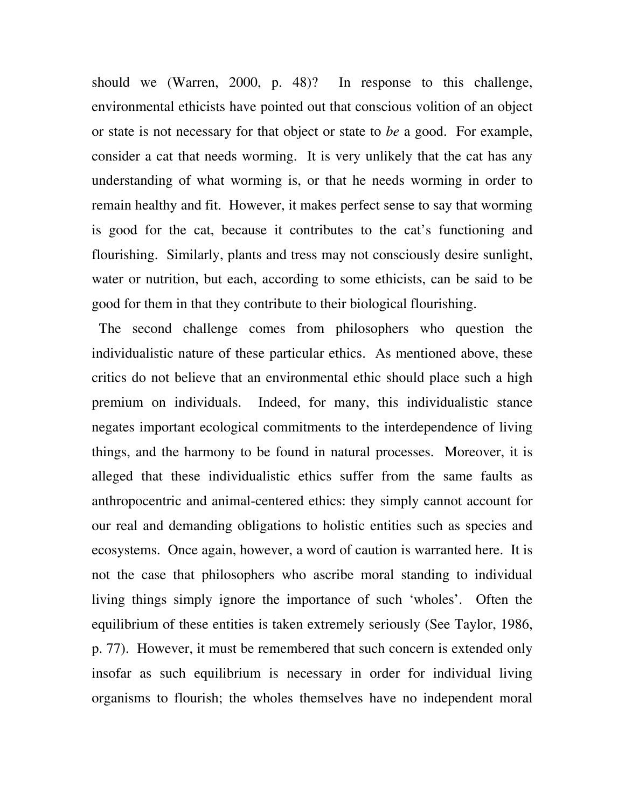should we (Warren, 2000, p. 48)? In response to this challenge, environmental ethicists have pointed out that conscious volition of an object or state is not necessary for that object or state to *be* a good. For example, consider a cat that needs worming. It is very unlikely that the cat has any understanding of what worming is, or that he needs worming in order to remain healthy and fit. However, it makes perfect sense to say that worming is good for the cat, because it contributes to the cat's functioning and flourishing. Similarly, plants and tress may not consciously desire sunlight, water or nutrition, but each, according to some ethicists, can be said to be good for them in that they contribute to their biological flourishing.

 The second challenge comes from philosophers who question the individualistic nature of these particular ethics. As mentioned above, these critics do not believe that an environmental ethic should place such a high premium on individuals. Indeed, for many, this individualistic stance negates important ecological commitments to the interdependence of living things, and the harmony to be found in natural processes. Moreover, it is alleged that these individualistic ethics suffer from the same faults as anthropocentric and animal-centered ethics: they simply cannot account for our real and demanding obligations to holistic entities such as species and ecosystems. Once again, however, a word of caution is warranted here. It is not the case that philosophers who ascribe moral standing to individual living things simply ignore the importance of such 'wholes'. Often the equilibrium of these entities is taken extremely seriously (See Taylor, 1986, p. 77). However, it must be remembered that such concern is extended only insofar as such equilibrium is necessary in order for individual living organisms to flourish; the wholes themselves have no independent moral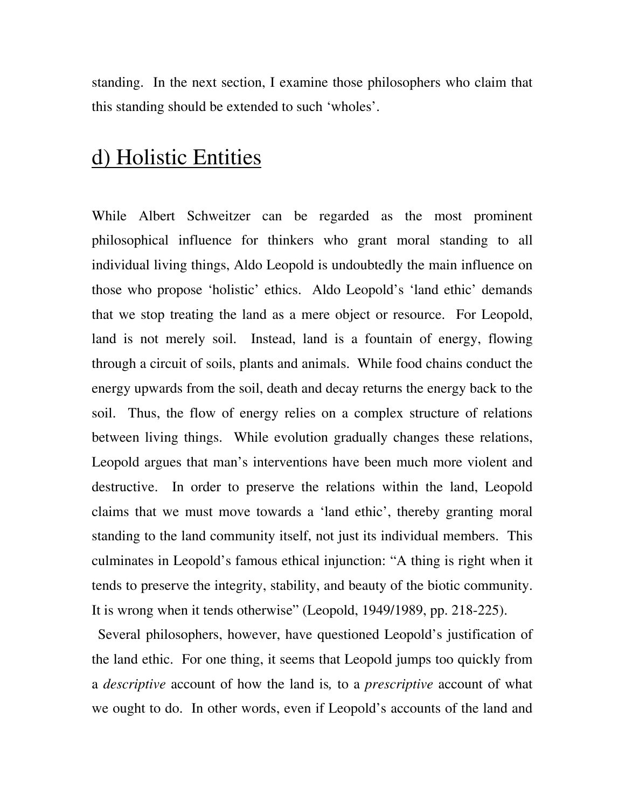standing. In the next section, I examine those philosophers who claim that this standing should be extended to such 'wholes'.

# d) Holistic Entities

While Albert Schweitzer can be regarded as the most prominent philosophical influence for thinkers who grant moral standing to all individual living things, Aldo Leopold is undoubtedly the main influence on those who propose 'holistic' ethics. Aldo Leopold's 'land ethic' demands that we stop treating the land as a mere object or resource. For Leopold, land is not merely soil. Instead, land is a fountain of energy, flowing through a circuit of soils, plants and animals. While food chains conduct the energy upwards from the soil, death and decay returns the energy back to the soil. Thus, the flow of energy relies on a complex structure of relations between living things. While evolution gradually changes these relations, Leopold argues that man's interventions have been much more violent and destructive. In order to preserve the relations within the land, Leopold claims that we must move towards a 'land ethic', thereby granting moral standing to the land community itself, not just its individual members. This culminates in Leopold's famous ethical injunction: "A thing is right when it tends to preserve the integrity, stability, and beauty of the biotic community. It is wrong when it tends otherwise" (Leopold, 1949/1989, pp. 218-225).

 Several philosophers, however, have questioned Leopold's justification of the land ethic. For one thing, it seems that Leopold jumps too quickly from a *descriptive* account of how the land is*,* to a *prescriptive* account of what we ought to do. In other words, even if Leopold's accounts of the land and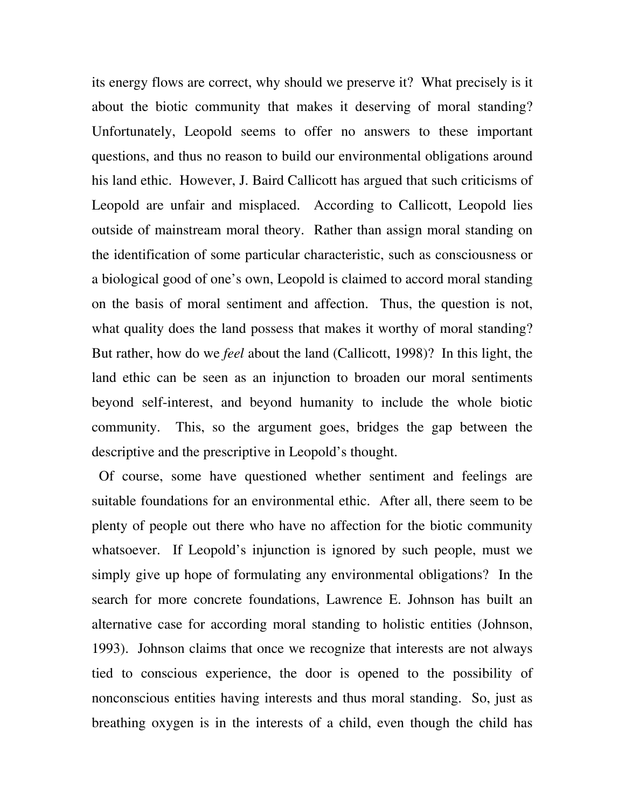its energy flows are correct, why should we preserve it? What precisely is it about the biotic community that makes it deserving of moral standing? Unfortunately, Leopold seems to offer no answers to these important questions, and thus no reason to build our environmental obligations around his land ethic. However, J. Baird Callicott has argued that such criticisms of Leopold are unfair and misplaced. According to Callicott, Leopold lies outside of mainstream moral theory. Rather than assign moral standing on the identification of some particular characteristic, such as consciousness or a biological good of one's own, Leopold is claimed to accord moral standing on the basis of moral sentiment and affection. Thus, the question is not, what quality does the land possess that makes it worthy of moral standing? But rather, how do we *feel* about the land (Callicott, 1998)? In this light, the land ethic can be seen as an injunction to broaden our moral sentiments beyond self-interest, and beyond humanity to include the whole biotic community. This, so the argument goes, bridges the gap between the descriptive and the prescriptive in Leopold's thought.

 Of course, some have questioned whether sentiment and feelings are suitable foundations for an environmental ethic. After all, there seem to be plenty of people out there who have no affection for the biotic community whatsoever. If Leopold's injunction is ignored by such people, must we simply give up hope of formulating any environmental obligations? In the search for more concrete foundations, Lawrence E. Johnson has built an alternative case for according moral standing to holistic entities (Johnson, 1993). Johnson claims that once we recognize that interests are not always tied to conscious experience, the door is opened to the possibility of nonconscious entities having interests and thus moral standing. So, just as breathing oxygen is in the interests of a child, even though the child has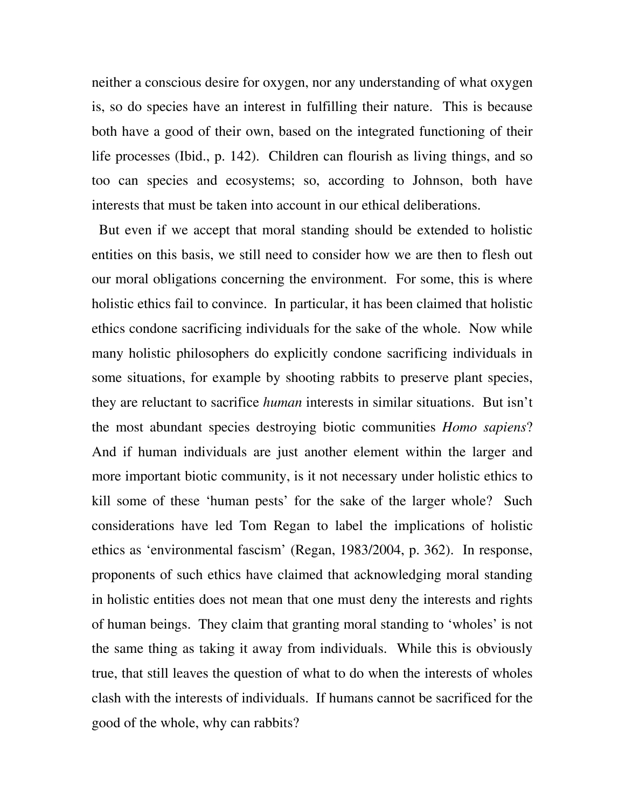neither a conscious desire for oxygen, nor any understanding of what oxygen is, so do species have an interest in fulfilling their nature. This is because both have a good of their own, based on the integrated functioning of their life processes (Ibid., p. 142). Children can flourish as living things, and so too can species and ecosystems; so, according to Johnson, both have interests that must be taken into account in our ethical deliberations.

 But even if we accept that moral standing should be extended to holistic entities on this basis, we still need to consider how we are then to flesh out our moral obligations concerning the environment. For some, this is where holistic ethics fail to convince. In particular, it has been claimed that holistic ethics condone sacrificing individuals for the sake of the whole. Now while many holistic philosophers do explicitly condone sacrificing individuals in some situations, for example by shooting rabbits to preserve plant species, they are reluctant to sacrifice *human* interests in similar situations. But isn't the most abundant species destroying biotic communities *Homo sapiens*? And if human individuals are just another element within the larger and more important biotic community, is it not necessary under holistic ethics to kill some of these 'human pests' for the sake of the larger whole? Such considerations have led Tom Regan to label the implications of holistic ethics as 'environmental fascism' (Regan, 1983/2004, p. 362). In response, proponents of such ethics have claimed that acknowledging moral standing in holistic entities does not mean that one must deny the interests and rights of human beings. They claim that granting moral standing to 'wholes' is not the same thing as taking it away from individuals. While this is obviously true, that still leaves the question of what to do when the interests of wholes clash with the interests of individuals. If humans cannot be sacrificed for the good of the whole, why can rabbits?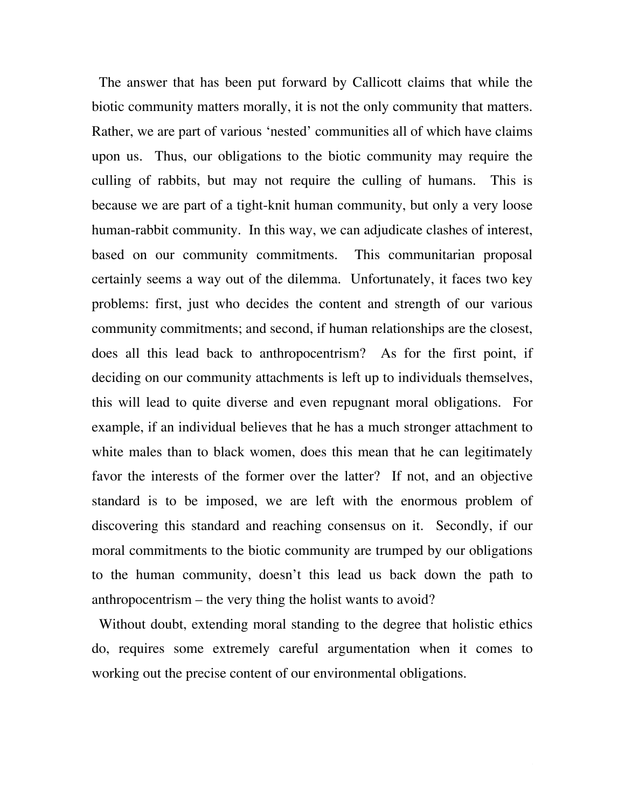The answer that has been put forward by Callicott claims that while the biotic community matters morally, it is not the only community that matters. Rather, we are part of various 'nested' communities all of which have claims upon us. Thus, our obligations to the biotic community may require the culling of rabbits, but may not require the culling of humans. This is because we are part of a tight-knit human community, but only a very loose human-rabbit community. In this way, we can adjudicate clashes of interest, based on our community commitments. This communitarian proposal certainly seems a way out of the dilemma. Unfortunately, it faces two key problems: first, just who decides the content and strength of our various community commitments; and second, if human relationships are the closest, does all this lead back to anthropocentrism? As for the first point, if deciding on our community attachments is left up to individuals themselves, this will lead to quite diverse and even repugnant moral obligations. For example, if an individual believes that he has a much stronger attachment to white males than to black women, does this mean that he can legitimately favor the interests of the former over the latter? If not, and an objective standard is to be imposed, we are left with the enormous problem of discovering this standard and reaching consensus on it. Secondly, if our moral commitments to the biotic community are trumped by our obligations to the human community, doesn't this lead us back down the path to anthropocentrism – the very thing the holist wants to avoid?

 Without doubt, extending moral standing to the degree that holistic ethics do, requires some extremely careful argumentation when it comes to working out the precise content of our environmental obligations.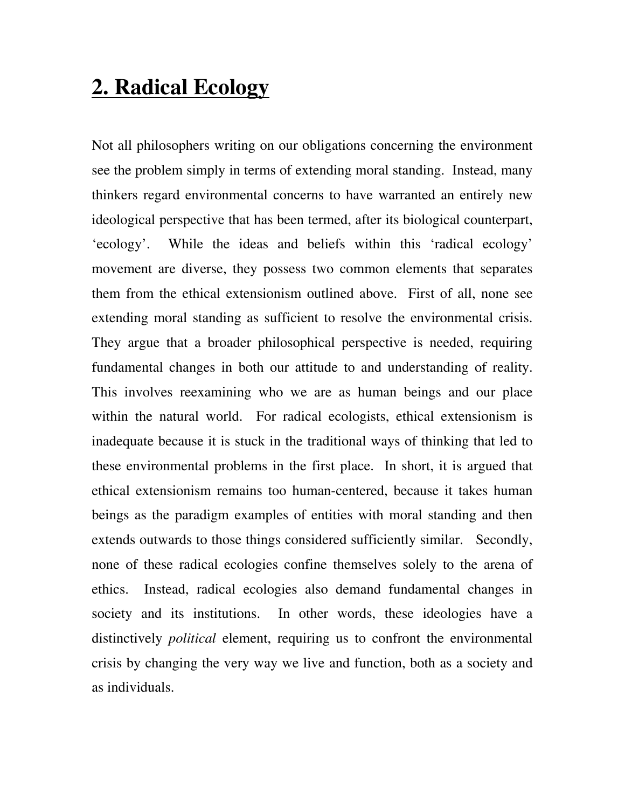# **2. Radical Ecology**

Not all philosophers writing on our obligations concerning the environment see the problem simply in terms of extending moral standing. Instead, many thinkers regard environmental concerns to have warranted an entirely new ideological perspective that has been termed, after its biological counterpart, 'ecology'. While the ideas and beliefs within this 'radical ecology' movement are diverse, they possess two common elements that separates them from the ethical extensionism outlined above. First of all, none see extending moral standing as sufficient to resolve the environmental crisis. They argue that a broader philosophical perspective is needed, requiring fundamental changes in both our attitude to and understanding of reality. This involves reexamining who we are as human beings and our place within the natural world. For radical ecologists, ethical extensionism is inadequate because it is stuck in the traditional ways of thinking that led to these environmental problems in the first place. In short, it is argued that ethical extensionism remains too human-centered, because it takes human beings as the paradigm examples of entities with moral standing and then extends outwards to those things considered sufficiently similar. Secondly, none of these radical ecologies confine themselves solely to the arena of ethics. Instead, radical ecologies also demand fundamental changes in society and its institutions. In other words, these ideologies have a distinctively *political* element, requiring us to confront the environmental crisis by changing the very way we live and function, both as a society and as individuals.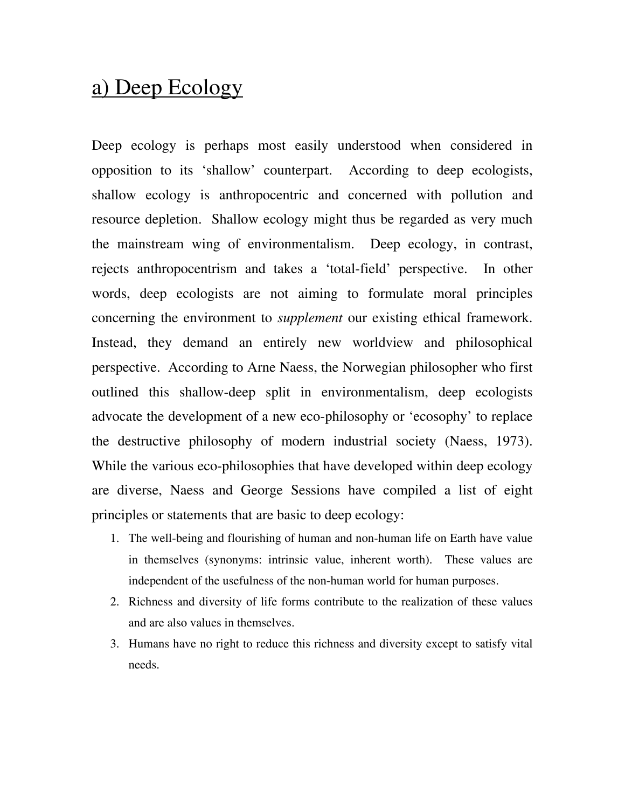# a) Deep Ecology

Deep ecology is perhaps most easily understood when considered in opposition to its 'shallow' counterpart. According to deep ecologists, shallow ecology is anthropocentric and concerned with pollution and resource depletion. Shallow ecology might thus be regarded as very much the mainstream wing of environmentalism. Deep ecology, in contrast, rejects anthropocentrism and takes a 'total-field' perspective. In other words, deep ecologists are not aiming to formulate moral principles concerning the environment to *supplement* our existing ethical framework. Instead, they demand an entirely new worldview and philosophical perspective. According to Arne Naess, the Norwegian philosopher who first outlined this shallow-deep split in environmentalism, deep ecologists advocate the development of a new eco-philosophy or 'ecosophy' to replace the destructive philosophy of modern industrial society (Naess, 1973). While the various eco-philosophies that have developed within deep ecology are diverse, Naess and George Sessions have compiled a list of eight principles or statements that are basic to deep ecology:

- 1. The well-being and flourishing of human and non-human life on Earth have value in themselves (synonyms: intrinsic value, inherent worth). These values are independent of the usefulness of the non-human world for human purposes.
- 2. Richness and diversity of life forms contribute to the realization of these values and are also values in themselves.
- 3. Humans have no right to reduce this richness and diversity except to satisfy vital needs.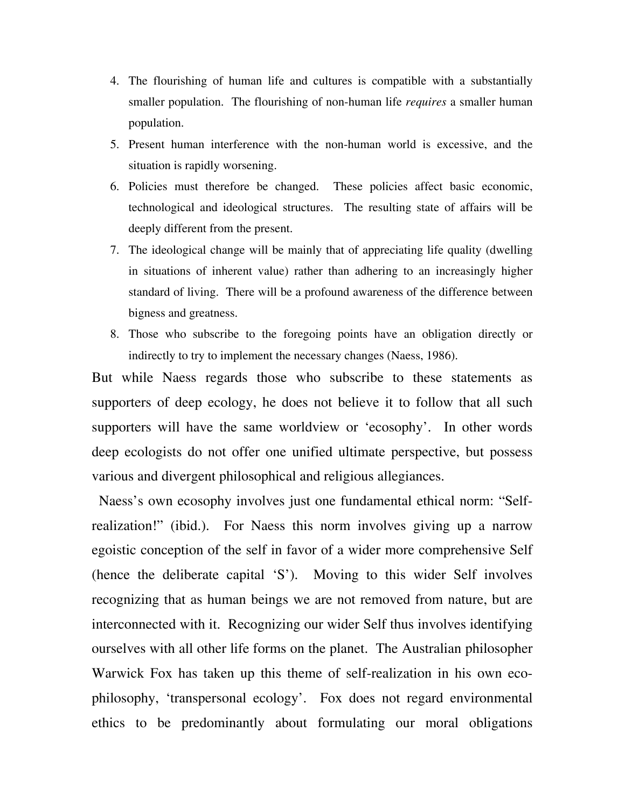- 4. The flourishing of human life and cultures is compatible with a substantially smaller population. The flourishing of non-human life *requires* a smaller human population.
- 5. Present human interference with the non-human world is excessive, and the situation is rapidly worsening.
- 6. Policies must therefore be changed. These policies affect basic economic, technological and ideological structures. The resulting state of affairs will be deeply different from the present.
- 7. The ideological change will be mainly that of appreciating life quality (dwelling in situations of inherent value) rather than adhering to an increasingly higher standard of living. There will be a profound awareness of the difference between bigness and greatness.
- 8. Those who subscribe to the foregoing points have an obligation directly or indirectly to try to implement the necessary changes (Naess, 1986).

But while Naess regards those who subscribe to these statements as supporters of deep ecology, he does not believe it to follow that all such supporters will have the same worldview or 'ecosophy'. In other words deep ecologists do not offer one unified ultimate perspective, but possess various and divergent philosophical and religious allegiances.

 Naess's own ecosophy involves just one fundamental ethical norm: "Selfrealization!" (ibid.). For Naess this norm involves giving up a narrow egoistic conception of the self in favor of a wider more comprehensive Self (hence the deliberate capital 'S'). Moving to this wider Self involves recognizing that as human beings we are not removed from nature, but are interconnected with it. Recognizing our wider Self thus involves identifying ourselves with all other life forms on the planet. The Australian philosopher Warwick Fox has taken up this theme of self-realization in his own ecophilosophy, 'transpersonal ecology'. Fox does not regard environmental ethics to be predominantly about formulating our moral obligations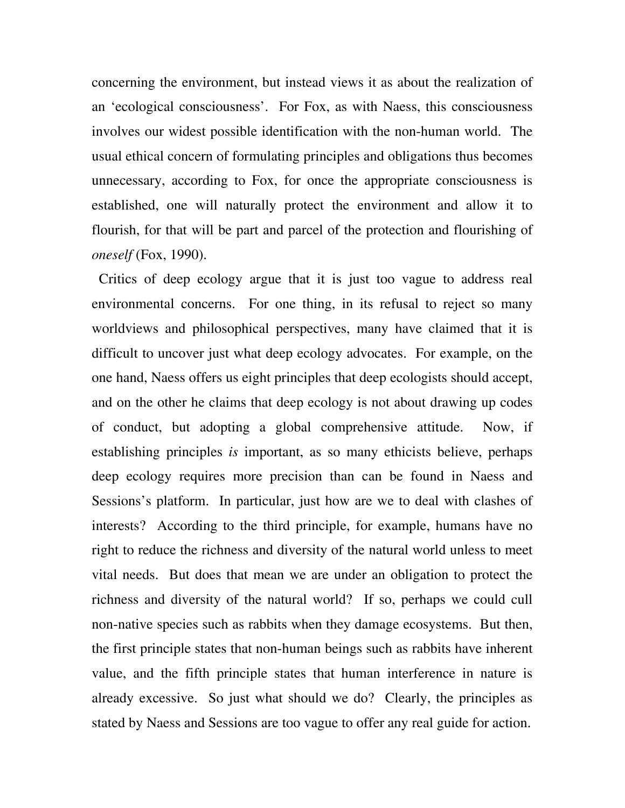concerning the environment, but instead views it as about the realization of an 'ecological consciousness'. For Fox, as with Naess, this consciousness involves our widest possible identification with the non-human world. The usual ethical concern of formulating principles and obligations thus becomes unnecessary, according to Fox, for once the appropriate consciousness is established, one will naturally protect the environment and allow it to flourish, for that will be part and parcel of the protection and flourishing of *oneself* (Fox, 1990).

 Critics of deep ecology argue that it is just too vague to address real environmental concerns. For one thing, in its refusal to reject so many worldviews and philosophical perspectives, many have claimed that it is difficult to uncover just what deep ecology advocates. For example, on the one hand, Naess offers us eight principles that deep ecologists should accept, and on the other he claims that deep ecology is not about drawing up codes of conduct, but adopting a global comprehensive attitude. Now, if establishing principles *is* important, as so many ethicists believe, perhaps deep ecology requires more precision than can be found in Naess and Sessions's platform. In particular, just how are we to deal with clashes of interests? According to the third principle, for example, humans have no right to reduce the richness and diversity of the natural world unless to meet vital needs. But does that mean we are under an obligation to protect the richness and diversity of the natural world? If so, perhaps we could cull non-native species such as rabbits when they damage ecosystems. But then, the first principle states that non-human beings such as rabbits have inherent value, and the fifth principle states that human interference in nature is already excessive. So just what should we do? Clearly, the principles as stated by Naess and Sessions are too vague to offer any real guide for action.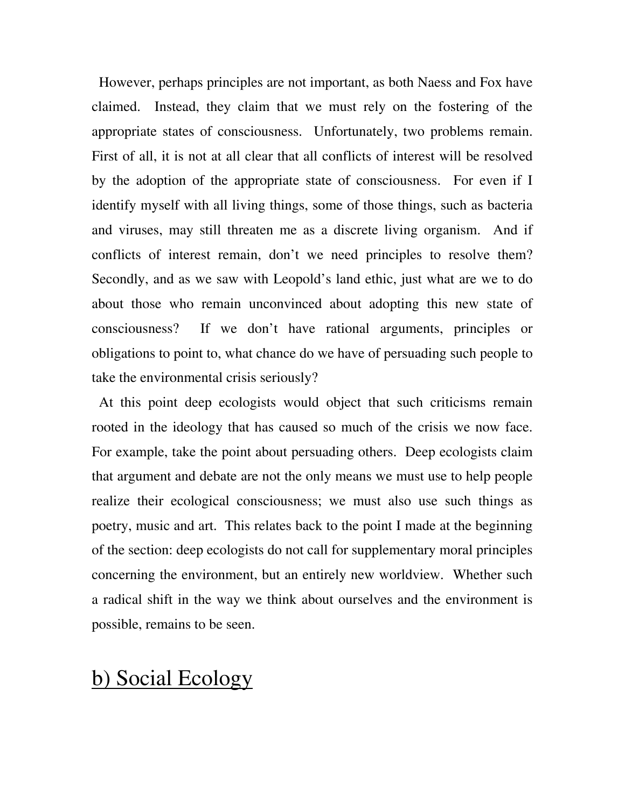However, perhaps principles are not important, as both Naess and Fox have claimed. Instead, they claim that we must rely on the fostering of the appropriate states of consciousness. Unfortunately, two problems remain. First of all, it is not at all clear that all conflicts of interest will be resolved by the adoption of the appropriate state of consciousness. For even if I identify myself with all living things, some of those things, such as bacteria and viruses, may still threaten me as a discrete living organism. And if conflicts of interest remain, don't we need principles to resolve them? Secondly, and as we saw with Leopold's land ethic, just what are we to do about those who remain unconvinced about adopting this new state of consciousness? If we don't have rational arguments, principles or obligations to point to, what chance do we have of persuading such people to take the environmental crisis seriously?

 At this point deep ecologists would object that such criticisms remain rooted in the ideology that has caused so much of the crisis we now face. For example, take the point about persuading others. Deep ecologists claim that argument and debate are not the only means we must use to help people realize their ecological consciousness; we must also use such things as poetry, music and art. This relates back to the point I made at the beginning of the section: deep ecologists do not call for supplementary moral principles concerning the environment, but an entirely new worldview. Whether such a radical shift in the way we think about ourselves and the environment is possible, remains to be seen.

#### b) Social Ecology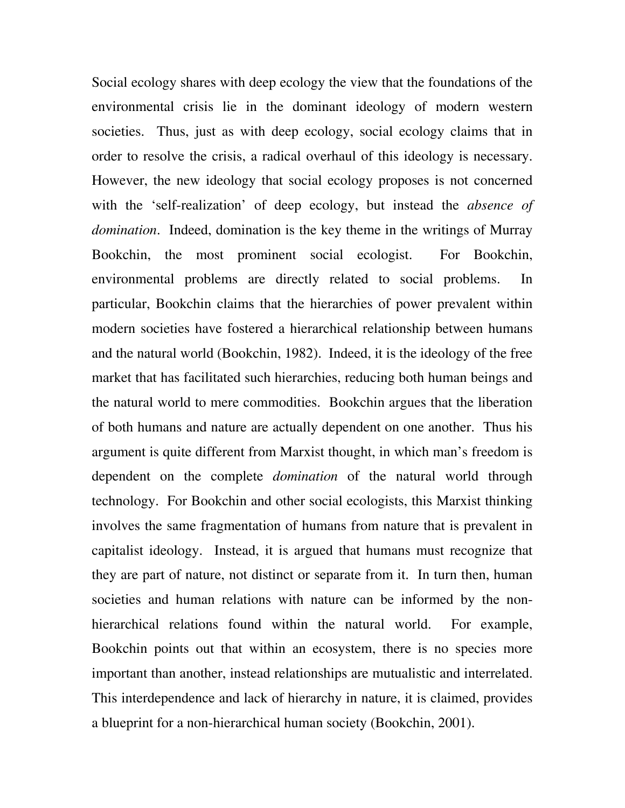Social ecology shares with deep ecology the view that the foundations of the environmental crisis lie in the dominant ideology of modern western societies. Thus, just as with deep ecology, social ecology claims that in order to resolve the crisis, a radical overhaul of this ideology is necessary. However, the new ideology that social ecology proposes is not concerned with the 'self-realization' of deep ecology, but instead the *absence of domination*. Indeed, domination is the key theme in the writings of Murray Bookchin, the most prominent social ecologist. For Bookchin, environmental problems are directly related to social problems. In particular, Bookchin claims that the hierarchies of power prevalent within modern societies have fostered a hierarchical relationship between humans and the natural world (Bookchin, 1982). Indeed, it is the ideology of the free market that has facilitated such hierarchies, reducing both human beings and the natural world to mere commodities. Bookchin argues that the liberation of both humans and nature are actually dependent on one another. Thus his argument is quite different from Marxist thought, in which man's freedom is dependent on the complete *domination* of the natural world through technology. For Bookchin and other social ecologists, this Marxist thinking involves the same fragmentation of humans from nature that is prevalent in capitalist ideology. Instead, it is argued that humans must recognize that they are part of nature, not distinct or separate from it. In turn then, human societies and human relations with nature can be informed by the nonhierarchical relations found within the natural world. For example, Bookchin points out that within an ecosystem, there is no species more important than another, instead relationships are mutualistic and interrelated. This interdependence and lack of hierarchy in nature, it is claimed, provides a blueprint for a non-hierarchical human society (Bookchin, 2001).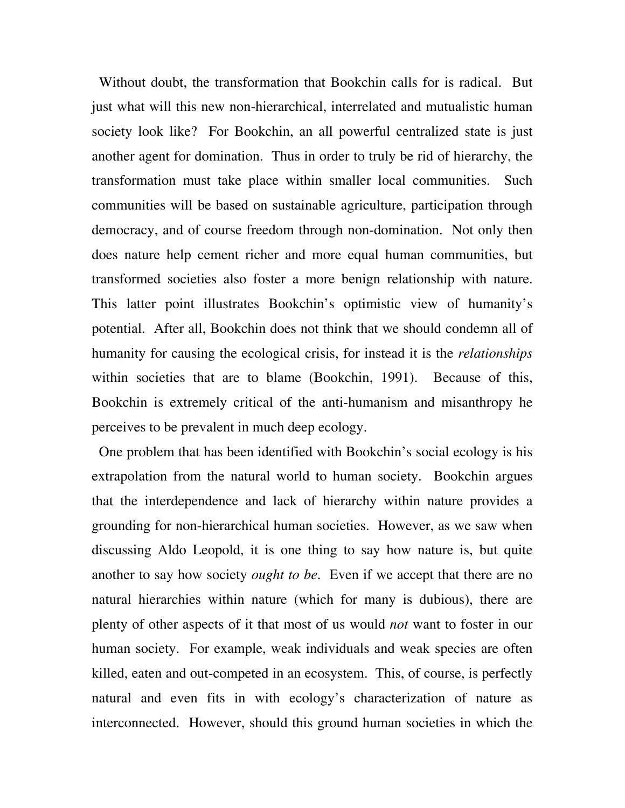Without doubt, the transformation that Bookchin calls for is radical. But just what will this new non-hierarchical, interrelated and mutualistic human society look like? For Bookchin, an all powerful centralized state is just another agent for domination. Thus in order to truly be rid of hierarchy, the transformation must take place within smaller local communities. Such communities will be based on sustainable agriculture, participation through democracy, and of course freedom through non-domination. Not only then does nature help cement richer and more equal human communities, but transformed societies also foster a more benign relationship with nature. This latter point illustrates Bookchin's optimistic view of humanity's potential. After all, Bookchin does not think that we should condemn all of humanity for causing the ecological crisis, for instead it is the *relationships* within societies that are to blame (Bookchin, 1991). Because of this, Bookchin is extremely critical of the anti-humanism and misanthropy he perceives to be prevalent in much deep ecology.

 One problem that has been identified with Bookchin's social ecology is his extrapolation from the natural world to human society. Bookchin argues that the interdependence and lack of hierarchy within nature provides a grounding for non-hierarchical human societies. However, as we saw when discussing Aldo Leopold, it is one thing to say how nature is, but quite another to say how society *ought to be*. Even if we accept that there are no natural hierarchies within nature (which for many is dubious), there are plenty of other aspects of it that most of us would *not* want to foster in our human society. For example, weak individuals and weak species are often killed, eaten and out-competed in an ecosystem. This, of course, is perfectly natural and even fits in with ecology's characterization of nature as interconnected. However, should this ground human societies in which the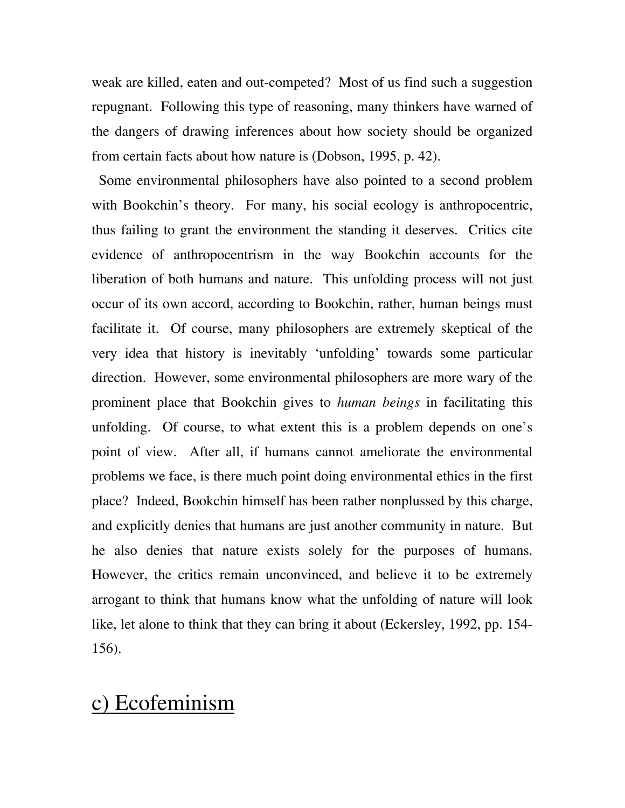weak are killed, eaten and out-competed? Most of us find such a suggestion repugnant. Following this type of reasoning, many thinkers have warned of the dangers of drawing inferences about how society should be organized from certain facts about how nature is (Dobson, 1995, p. 42).

 Some environmental philosophers have also pointed to a second problem with Bookchin's theory. For many, his social ecology is anthropocentric, thus failing to grant the environment the standing it deserves. Critics cite evidence of anthropocentrism in the way Bookchin accounts for the liberation of both humans and nature. This unfolding process will not just occur of its own accord, according to Bookchin, rather, human beings must facilitate it. Of course, many philosophers are extremely skeptical of the very idea that history is inevitably 'unfolding' towards some particular direction. However, some environmental philosophers are more wary of the prominent place that Bookchin gives to *human beings* in facilitating this unfolding. Of course, to what extent this is a problem depends on one's point of view. After all, if humans cannot ameliorate the environmental problems we face, is there much point doing environmental ethics in the first place? Indeed, Bookchin himself has been rather nonplussed by this charge, and explicitly denies that humans are just another community in nature. But he also denies that nature exists solely for the purposes of humans. However, the critics remain unconvinced, and believe it to be extremely arrogant to think that humans know what the unfolding of nature will look like, let alone to think that they can bring it about (Eckersley, 1992, pp. 154- 156).

#### c) Ecofeminism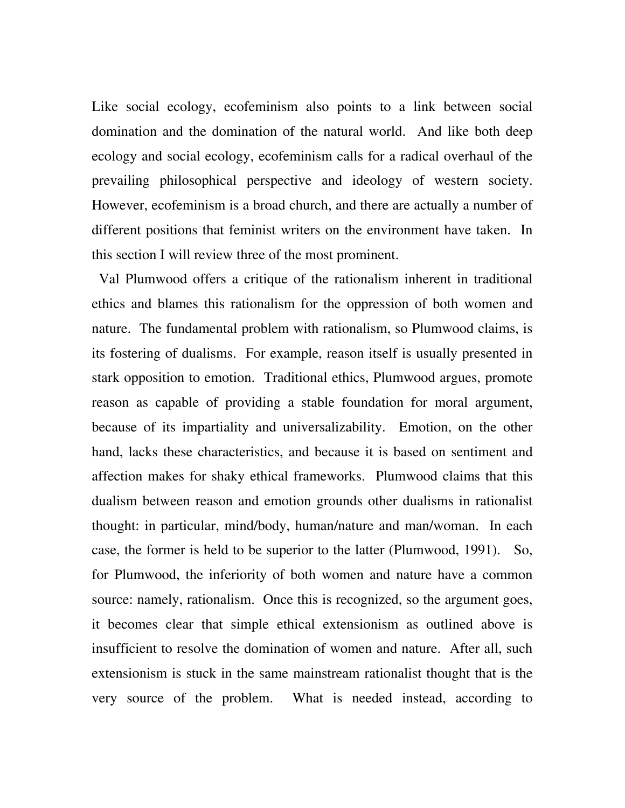Like social ecology, ecofeminism also points to a link between social domination and the domination of the natural world. And like both deep ecology and social ecology, ecofeminism calls for a radical overhaul of the prevailing philosophical perspective and ideology of western society. However, ecofeminism is a broad church, and there are actually a number of different positions that feminist writers on the environment have taken. In this section I will review three of the most prominent.

 Val Plumwood offers a critique of the rationalism inherent in traditional ethics and blames this rationalism for the oppression of both women and nature. The fundamental problem with rationalism, so Plumwood claims, is its fostering of dualisms. For example, reason itself is usually presented in stark opposition to emotion. Traditional ethics, Plumwood argues, promote reason as capable of providing a stable foundation for moral argument, because of its impartiality and universalizability. Emotion, on the other hand, lacks these characteristics, and because it is based on sentiment and affection makes for shaky ethical frameworks. Plumwood claims that this dualism between reason and emotion grounds other dualisms in rationalist thought: in particular, mind/body, human/nature and man/woman. In each case, the former is held to be superior to the latter (Plumwood, 1991). So, for Plumwood, the inferiority of both women and nature have a common source: namely, rationalism. Once this is recognized, so the argument goes, it becomes clear that simple ethical extensionism as outlined above is insufficient to resolve the domination of women and nature. After all, such extensionism is stuck in the same mainstream rationalist thought that is the very source of the problem. What is needed instead, according to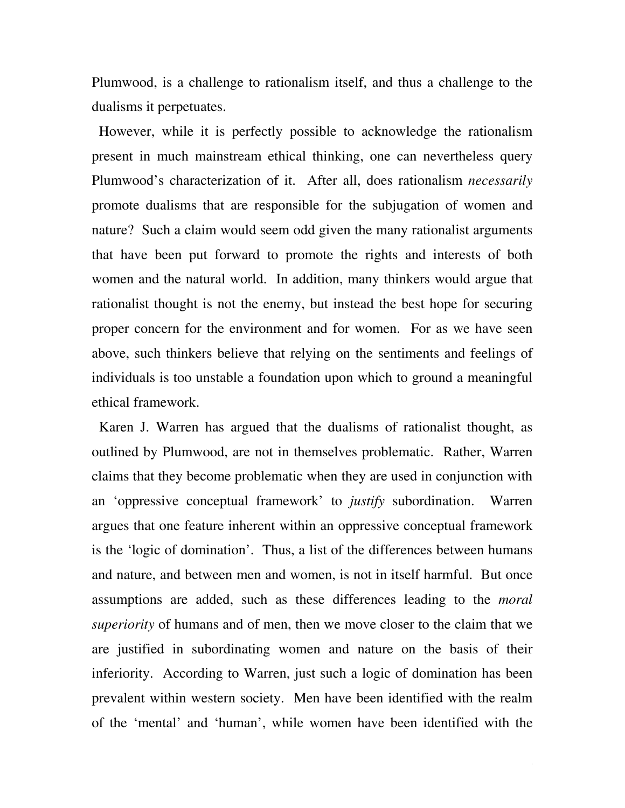Plumwood, is a challenge to rationalism itself, and thus a challenge to the dualisms it perpetuates.

 However, while it is perfectly possible to acknowledge the rationalism present in much mainstream ethical thinking, one can nevertheless query Plumwood's characterization of it. After all, does rationalism *necessarily*  promote dualisms that are responsible for the subjugation of women and nature? Such a claim would seem odd given the many rationalist arguments that have been put forward to promote the rights and interests of both women and the natural world. In addition, many thinkers would argue that rationalist thought is not the enemy, but instead the best hope for securing proper concern for the environment and for women. For as we have seen above, such thinkers believe that relying on the sentiments and feelings of individuals is too unstable a foundation upon which to ground a meaningful ethical framework.

 Karen J. Warren has argued that the dualisms of rationalist thought, as outlined by Plumwood, are not in themselves problematic. Rather, Warren claims that they become problematic when they are used in conjunction with an 'oppressive conceptual framework' to *justify* subordination. Warren argues that one feature inherent within an oppressive conceptual framework is the 'logic of domination'. Thus, a list of the differences between humans and nature, and between men and women, is not in itself harmful. But once assumptions are added, such as these differences leading to the *moral superiority* of humans and of men, then we move closer to the claim that we are justified in subordinating women and nature on the basis of their inferiority. According to Warren, just such a logic of domination has been prevalent within western society. Men have been identified with the realm of the 'mental' and 'human', while women have been identified with the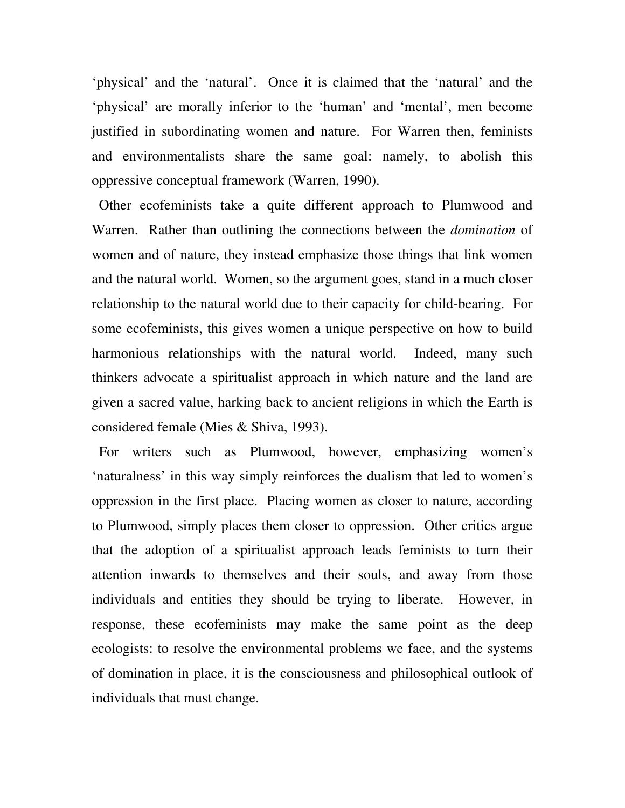'physical' and the 'natural'. Once it is claimed that the 'natural' and the 'physical' are morally inferior to the 'human' and 'mental', men become justified in subordinating women and nature. For Warren then, feminists and environmentalists share the same goal: namely, to abolish this oppressive conceptual framework (Warren, 1990).

 Other ecofeminists take a quite different approach to Plumwood and Warren. Rather than outlining the connections between the *domination* of women and of nature, they instead emphasize those things that link women and the natural world. Women, so the argument goes, stand in a much closer relationship to the natural world due to their capacity for child-bearing. For some ecofeminists, this gives women a unique perspective on how to build harmonious relationships with the natural world. Indeed, many such thinkers advocate a spiritualist approach in which nature and the land are given a sacred value, harking back to ancient religions in which the Earth is considered female (Mies & Shiva, 1993).

 For writers such as Plumwood, however, emphasizing women's 'naturalness' in this way simply reinforces the dualism that led to women's oppression in the first place. Placing women as closer to nature, according to Plumwood, simply places them closer to oppression. Other critics argue that the adoption of a spiritualist approach leads feminists to turn their attention inwards to themselves and their souls, and away from those individuals and entities they should be trying to liberate. However, in response, these ecofeminists may make the same point as the deep ecologists: to resolve the environmental problems we face, and the systems of domination in place, it is the consciousness and philosophical outlook of individuals that must change.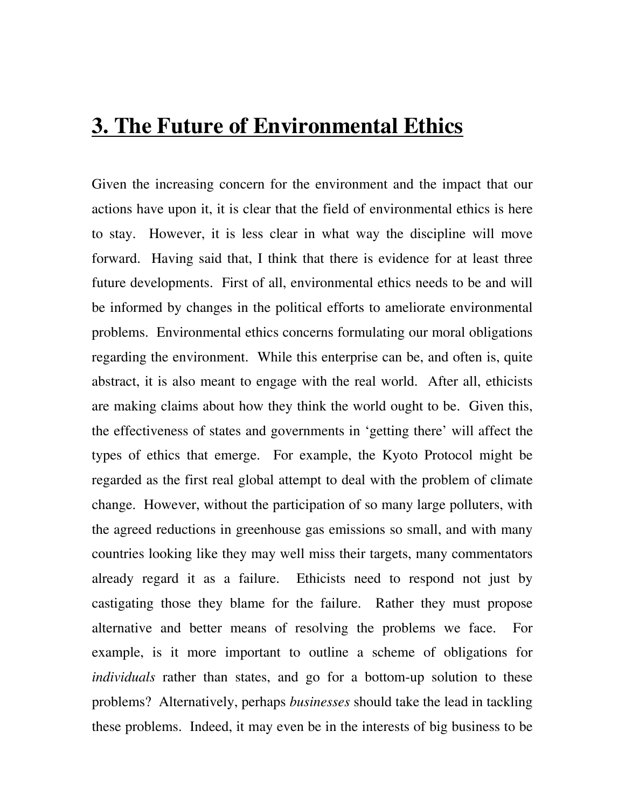## **3. The Future of Environmental Ethics**

Given the increasing concern for the environment and the impact that our actions have upon it, it is clear that the field of environmental ethics is here to stay. However, it is less clear in what way the discipline will move forward. Having said that, I think that there is evidence for at least three future developments. First of all, environmental ethics needs to be and will be informed by changes in the political efforts to ameliorate environmental problems. Environmental ethics concerns formulating our moral obligations regarding the environment. While this enterprise can be, and often is, quite abstract, it is also meant to engage with the real world. After all, ethicists are making claims about how they think the world ought to be. Given this, the effectiveness of states and governments in 'getting there' will affect the types of ethics that emerge. For example, the Kyoto Protocol might be regarded as the first real global attempt to deal with the problem of climate change. However, without the participation of so many large polluters, with the agreed reductions in greenhouse gas emissions so small, and with many countries looking like they may well miss their targets, many commentators already regard it as a failure. Ethicists need to respond not just by castigating those they blame for the failure. Rather they must propose alternative and better means of resolving the problems we face. For example, is it more important to outline a scheme of obligations for *individuals* rather than states, and go for a bottom-up solution to these problems? Alternatively, perhaps *businesses* should take the lead in tackling these problems. Indeed, it may even be in the interests of big business to be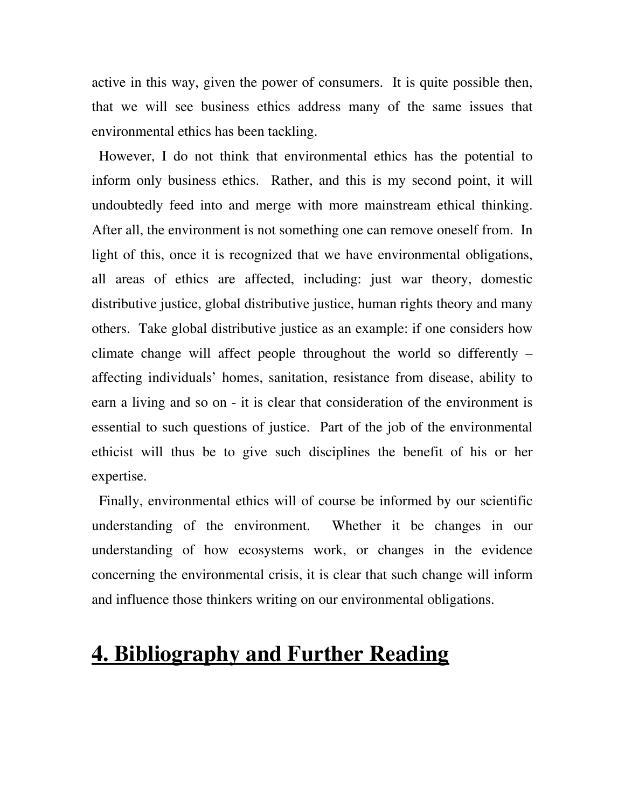active in this way, given the power of consumers. It is quite possible then, that we will see business ethics address many of the same issues that environmental ethics has been tackling.

 However, I do not think that environmental ethics has the potential to inform only business ethics. Rather, and this is my second point, it will undoubtedly feed into and merge with more mainstream ethical thinking. After all, the environment is not something one can remove oneself from. In light of this, once it is recognized that we have environmental obligations, all areas of ethics are affected, including: just war theory, domestic distributive justice, global distributive justice, human rights theory and many others. Take global distributive justice as an example: if one considers how climate change will affect people throughout the world so differently – affecting individuals' homes, sanitation, resistance from disease, ability to earn a living and so on - it is clear that consideration of the environment is essential to such questions of justice. Part of the job of the environmental ethicist will thus be to give such disciplines the benefit of his or her expertise.

 Finally, environmental ethics will of course be informed by our scientific understanding of the environment. Whether it be changes in our understanding of how ecosystems work, or changes in the evidence concerning the environmental crisis, it is clear that such change will inform and influence those thinkers writing on our environmental obligations.

# **4. Bibliography and Further Reading**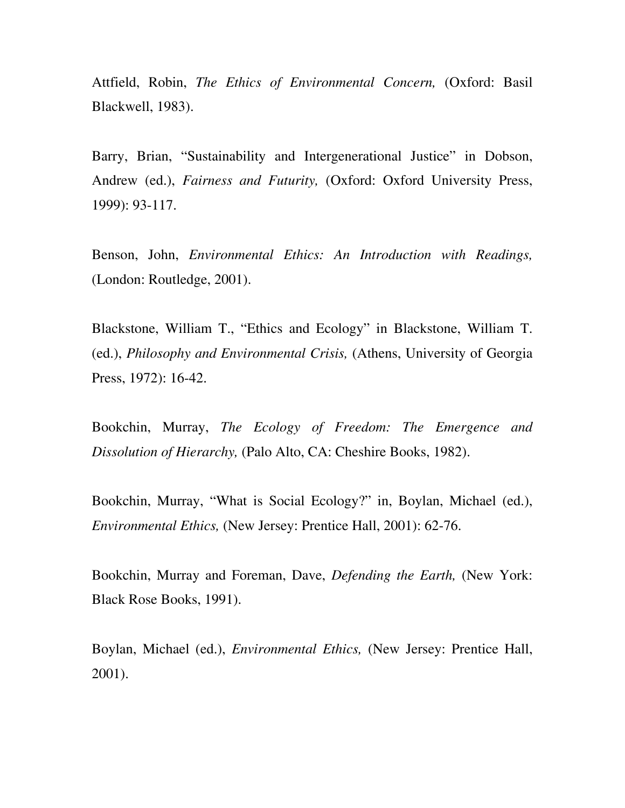Attfield, Robin, *The Ethics of Environmental Concern,* (Oxford: Basil Blackwell, 1983).

Barry, Brian, "Sustainability and Intergenerational Justice" in Dobson, Andrew (ed.), *Fairness and Futurity,* (Oxford: Oxford University Press, 1999): 93-117.

Benson, John, *Environmental Ethics: An Introduction with Readings,*  (London: Routledge, 2001).

Blackstone, William T., "Ethics and Ecology" in Blackstone, William T. (ed.), *Philosophy and Environmental Crisis,* (Athens, University of Georgia Press, 1972): 16-42.

Bookchin, Murray, *The Ecology of Freedom: The Emergence and Dissolution of Hierarchy,* (Palo Alto, CA: Cheshire Books, 1982).

Bookchin, Murray, "What is Social Ecology?" in, Boylan, Michael (ed.), *Environmental Ethics,* (New Jersey: Prentice Hall, 2001): 62-76.

Bookchin, Murray and Foreman, Dave, *Defending the Earth,* (New York: Black Rose Books, 1991).

Boylan, Michael (ed.), *Environmental Ethics,* (New Jersey: Prentice Hall, 2001).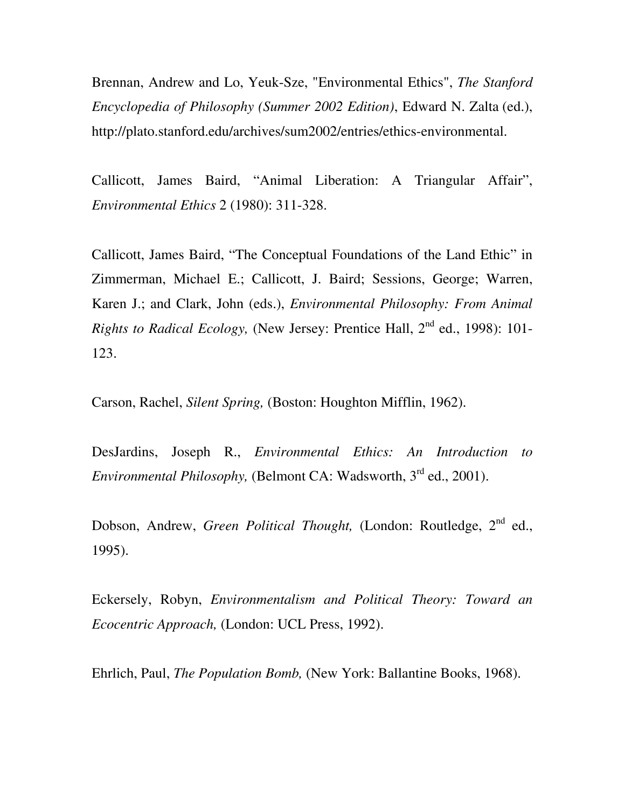Brennan, Andrew and Lo, Yeuk-Sze, "Environmental Ethics", *The Stanford Encyclopedia of Philosophy (Summer 2002 Edition)*, Edward N. Zalta (ed.), http://plato.stanford.edu/archives/sum2002/entries/ethics-environmental.

Callicott, James Baird, "Animal Liberation: A Triangular Affair", *Environmental Ethics* 2 (1980): 311-328.

Callicott, James Baird, "The Conceptual Foundations of the Land Ethic" in Zimmerman, Michael E.; Callicott, J. Baird; Sessions, George; Warren, Karen J.; and Clark, John (eds.), *Environmental Philosophy: From Animal Rights to Radical Ecology, (New Jersey: Prentice Hall, 2<sup>nd</sup> ed., 1998): 101-*123.

Carson, Rachel, *Silent Spring,* (Boston: Houghton Mifflin, 1962).

DesJardins, Joseph R., *Environmental Ethics: An Introduction to Environmental Philosophy, (Belmont CA: Wadsworth, 3<sup>rd</sup> ed., 2001).* 

Dobson, Andrew, *Green Political Thought*, (London: Routledge, 2<sup>nd</sup> ed., 1995).

Eckersely, Robyn, *Environmentalism and Political Theory: Toward an Ecocentric Approach,* (London: UCL Press, 1992).

Ehrlich, Paul, *The Population Bomb,* (New York: Ballantine Books, 1968).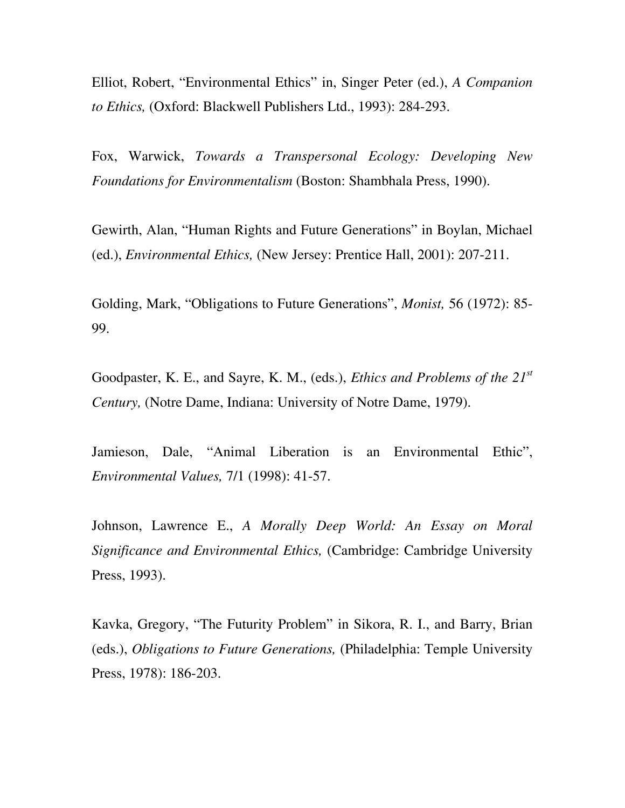Elliot, Robert, "Environmental Ethics" in, Singer Peter (ed.), *A Companion to Ethics,* (Oxford: Blackwell Publishers Ltd., 1993): 284-293.

Fox, Warwick, *Towards a Transpersonal Ecology: Developing New Foundations for Environmentalism* (Boston: Shambhala Press, 1990).

Gewirth, Alan, "Human Rights and Future Generations" in Boylan, Michael (ed.), *Environmental Ethics,* (New Jersey: Prentice Hall, 2001): 207-211.

Golding, Mark, "Obligations to Future Generations", *Monist,* 56 (1972): 85- 99.

Goodpaster, K. E., and Sayre, K. M., (eds.), *Ethics and Problems of the 21st Century,* (Notre Dame, Indiana: University of Notre Dame, 1979).

Jamieson, Dale, "Animal Liberation is an Environmental Ethic", *Environmental Values,* 7/1 (1998): 41-57.

Johnson, Lawrence E., *A Morally Deep World: An Essay on Moral Significance and Environmental Ethics,* (Cambridge: Cambridge University Press, 1993).

Kavka, Gregory, "The Futurity Problem" in Sikora, R. I., and Barry, Brian (eds.), *Obligations to Future Generations,* (Philadelphia: Temple University Press, 1978): 186-203.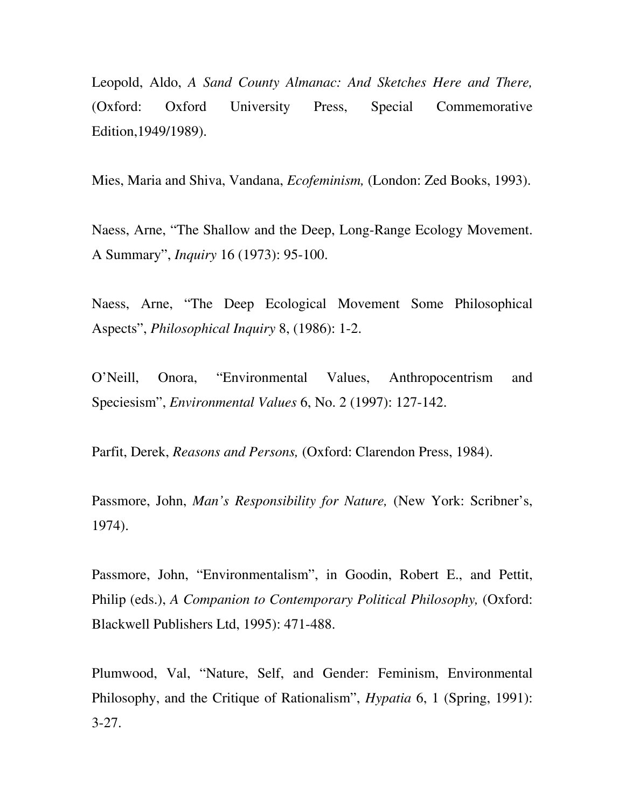Leopold, Aldo, *A Sand County Almanac: And Sketches Here and There,*  (Oxford: Oxford University Press, Special Commemorative Edition,1949/1989).

Mies, Maria and Shiva, Vandana, *Ecofeminism,* (London: Zed Books, 1993).

Naess, Arne, "The Shallow and the Deep, Long-Range Ecology Movement. A Summary", *Inquiry* 16 (1973): 95-100.

Naess, Arne, "The Deep Ecological Movement Some Philosophical Aspects", *Philosophical Inquiry* 8, (1986): 1-2.

O'Neill, Onora, "Environmental Values, Anthropocentrism and Speciesism", *Environmental Values* 6, No. 2 (1997): 127-142.

Parfit, Derek, *Reasons and Persons,* (Oxford: Clarendon Press, 1984).

Passmore, John, *Man's Responsibility for Nature,* (New York: Scribner's, 1974).

Passmore, John, "Environmentalism", in Goodin, Robert E., and Pettit, Philip (eds.), *A Companion to Contemporary Political Philosophy,* (Oxford: Blackwell Publishers Ltd, 1995): 471-488.

Plumwood, Val, "Nature, Self, and Gender: Feminism, Environmental Philosophy, and the Critique of Rationalism", *Hypatia* 6, 1 (Spring, 1991): 3-27.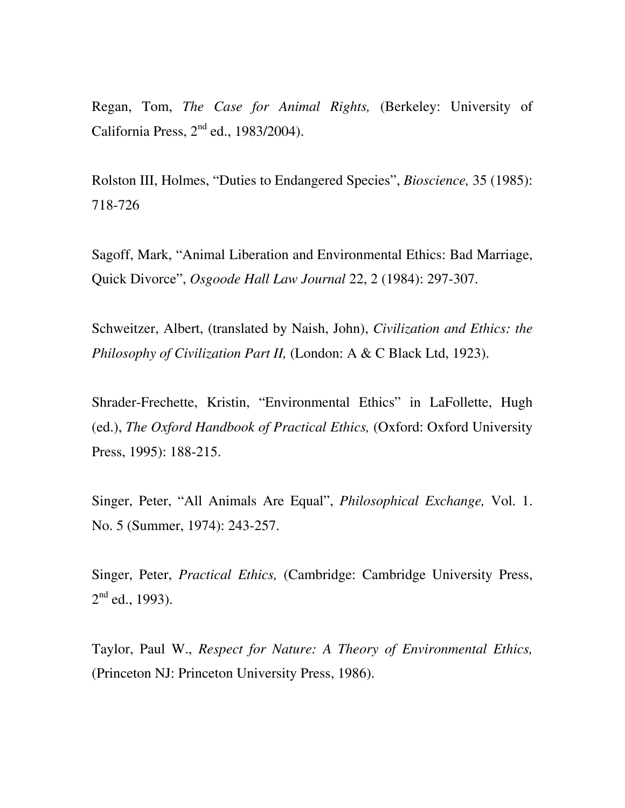Regan, Tom, *The Case for Animal Rights,* (Berkeley: University of California Press,  $2<sup>nd</sup>$  ed., 1983/2004).

Rolston III, Holmes, "Duties to Endangered Species", *Bioscience,* 35 (1985): 718-726

Sagoff, Mark, "Animal Liberation and Environmental Ethics: Bad Marriage, Quick Divorce", *Osgoode Hall Law Journal* 22, 2 (1984): 297-307.

Schweitzer, Albert, (translated by Naish, John), *Civilization and Ethics: the Philosophy of Civilization Part II, (London: A & C Black Ltd, 1923).* 

Shrader-Frechette, Kristin, "Environmental Ethics" in LaFollette, Hugh (ed.), *The Oxford Handbook of Practical Ethics,* (Oxford: Oxford University Press, 1995): 188-215.

Singer, Peter, "All Animals Are Equal", *Philosophical Exchange,* Vol. 1. No. 5 (Summer, 1974): 243-257.

Singer, Peter, *Practical Ethics,* (Cambridge: Cambridge University Press,  $2^{nd}$  ed., 1993).

Taylor, Paul W., *Respect for Nature: A Theory of Environmental Ethics,*  (Princeton NJ: Princeton University Press, 1986).